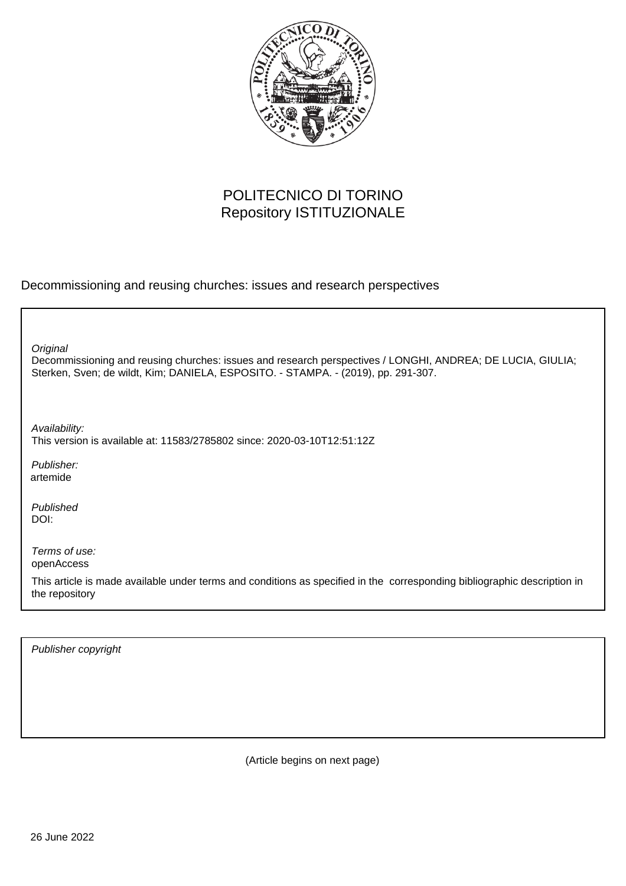

## POLITECNICO DI TORINO Repository ISTITUZIONALE

Decommissioning and reusing churches: issues and research perspectives

**Original** 

Decommissioning and reusing churches: issues and research perspectives / LONGHI, ANDREA; DE LUCIA, GIULIA; Sterken, Sven; de wildt, Kim; DANIELA, ESPOSITO. - STAMPA. - (2019), pp. 291-307.

Availability: This version is available at: 11583/2785802 since: 2020-03-10T12:51:12Z

Publisher: artemide

Published DOI:

Terms of use: openAccess

This article is made available under terms and conditions as specified in the corresponding bibliographic description in the repository

Publisher copyright

(Article begins on next page)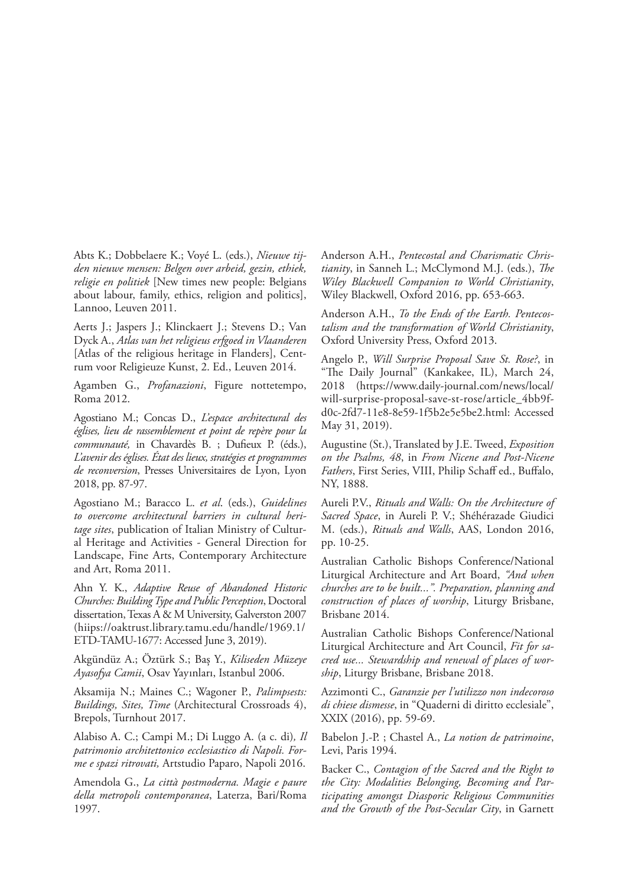Abts K.; Dobbelaere K.; Voyé L. (eds.), *Nieuwe tijden nieuwe mensen: Belgen over arbeid, gezin, ethiek, religie en politiek* [New times new people: Belgians about labour, family, ethics, religion and politics], Lannoo, Leuven 2011.

Aerts J.; Jaspers J.; Klinckaert J.; Stevens D.; Van Dyck A., *Atlas van het religieus erfgoed in Vlaanderen*  [Atlas of the religious heritage in Flanders], Centrum voor Religieuze Kunst, 2. Ed., Leuven 2014.

Agamben G., *Profanazioni*, Figure nottetempo, Roma 2012.

Agostiano M.; Concas D., *L'espace architectural des églises, lieu de rassemblement et point de repère pour la communauté,* in Chavardès B. ; Dufieux P. (éds.), *L'avenir des églises. État des lieux, stratégies et programmes de reconversion*, Presses Universitaires de Lyon, Lyon 2018, pp. 87-97.

Agostiano M.; Baracco L. *et al*. (eds.), *Guidelines to overcome architectural barriers in cultural heritage sites*, publication of Italian Ministry of Cultural Heritage and Activities - General Direction for Landscape, Fine Arts, Contemporary Architecture and Art, Roma 2011.

Ahn Y. K., *Adaptive Reuse of Abandoned Historic Churches: Building Type and Public Perception*, Doctoral dissertation, Texas A & M University, Galverston 2007 (hiips://oaktrust.library.tamu.edu/handle/1969.1/ ETD-TAMU-1677: Accessed June 3, 2019).

Akgündüz A.; Öztürk S.; Baș Y., *Kiliseden Müzeye Ayasofya Camii*, Osav Yayınları, Istanbul 2006.

Aksamija N.; Maines C.; Wagoner P., *Palimpsests: Buildings, Sites, Time* (Architectural Crossroads 4), Brepols, Turnhout 2017.

Alabiso A. C.; Campi M.; Di Luggo A. (a c. di)*, Il patrimonio architettonico ecclesiastico di Napoli. Forme e spazi ritrovati,* Artstudio Paparo, Napoli 2016.

Amendola G., *La città postmoderna. Magie e paure della metropoli contemporanea*, Laterza, Bari/Roma 1997.

Anderson A.H., *Pentecostal and Charismatic Christianity*, in Sanneh L.; McClymond M.J. (eds.), *The Wiley Blackwell Companion to World Christianity*, Wiley Blackwell, Oxford 2016, pp. 653-663.

Anderson A.H., *To the Ends of the Earth. Pentecostalism and the transformation of World Christianity*, Oxford University Press, Oxford 2013.

Angelo P., *Will Surprise Proposal Save St. Rose?*, in "The Daily Journal" (Kankakee, IL), March 24, 2018 (https://www.daily-journal.com/news/local/ will-surprise-proposal-save-st-rose/article\_4bb9fd0c-2fd7-11e8-8e59-1f5b2e5e5be2.html: Accessed May 31, 2019).

Augustine (St.), Translated by J.E. Tweed, *Exposition on the Psalms, 48*, in *From Nicene and Post-Nicene Fathers*, First Series, VIII, Philip Schaff ed., Buffalo, NY, 1888.

Aureli P.V., *Rituals and Walls: On the Architecture of Sacred Space*, in Aureli P. V.; Shéhérazade Giudici M. (eds.), *Rituals and Walls*, AAS, London 2016, pp. 10-25.

Australian Catholic Bishops Conference/National Liturgical Architecture and Art Board, *"And when churches are to be built...". Preparation, planning and construction of places of worship*, Liturgy Brisbane, Brisbane 2014.

Australian Catholic Bishops Conference/National Liturgical Architecture and Art Council, *Fit for sacred use... Stewardship and renewal of places of worship*, Liturgy Brisbane, Brisbane 2018.

Azzimonti C., *Garanzie per l'utilizzo non indecoroso di chiese dismesse*, in "Quaderni di diritto ecclesiale", XXIX (2016), pp. 59-69.

Babelon J.-P. ; Chastel A., *La notion de patrimoine*, Levi, Paris 1994.

Backer C., *Contagion of the Sacred and the Right to the City: Modalities Belonging, Becoming and Participating amongst Diasporic Religious Communities and the Growth of the Post-Secular City*, in Garnett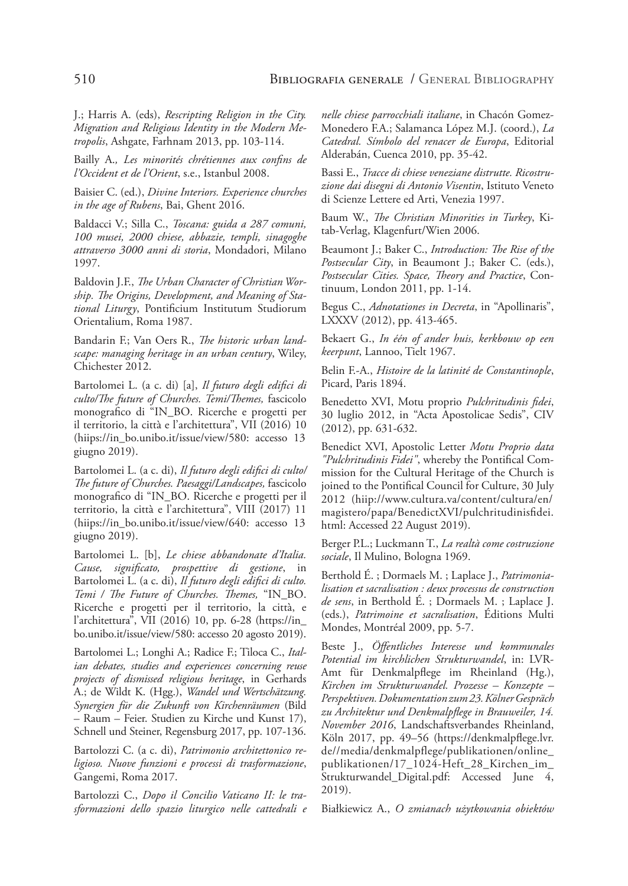J.; Harris A. (eds), *Rescripting Religion in the City. Migration and Religious Identity in the Modern Metropolis*, Ashgate, Farhnam 2013, pp. 103-114.

Bailly A.*, Les minorités chrétiennes aux confins de l'Occident et de l'Orient*, s.e., Istanbul 2008.

Baisier C. (ed.), *Divine Interiors. Experience churches in the age of Rubens*, Bai, Ghent 2016.

Baldacci V.; Silla C., *Toscana: guida a 287 comuni, 100 musei, 2000 chiese, abbazie, templi, sinagoghe attraverso 3000 anni di storia*, Mondadori, Milano 1997.

Baldovin J.F., *The Urban Character of Christian Worship. The Origins, Development, and Meaning of Stational Liturgy*, Pontificium Institutum Studiorum Orientalium, Roma 1987.

Bandarin F.; Van Oers R., *The historic urban landscape: managing heritage in an urban century*, Wiley, Chichester 2012.

Bartolomei L. (a c. di) [a], *Il futuro degli edifici di culto/The future of Churches. Temi/Themes,* fascicolo monografico di "IN\_BO. Ricerche e progetti per il territorio, la città e l'architettura", VII (2016) 10 (hiips://in\_bo.unibo.it/issue/view/580: accesso 13 giugno 2019).

Bartolomei L. (a c. di), *Il futuro degli edifici di culto/ The future of Churches. Paesaggi/Landscapes,* fascicolo monografico di "IN\_BO. Ricerche e progetti per il territorio, la città e l'architettura", VIII (2017) 11 (hiips://in\_bo.unibo.it/issue/view/640: accesso 13 giugno 2019).

Bartolomei L. [b], *Le chiese abbandonate d'Italia. Cause, significato, prospettive di gestione*, in Bartolomei L. (a c. di), *Il futuro degli edifici di culto. Temi / The Future of Churches. Themes,* "IN\_BO. Ricerche e progetti per il territorio, la città, e l'architettura", VII (2016) 10, pp. 6-28 (https://in\_ bo.unibo.it/issue/view/580: accesso 20 agosto 2019).

Bartolomei L.; Longhi A.; Radice F.; Tiloca C., *Italian debates, studies and experiences concerning reuse projects of dismissed religious heritage*, in Gerhards A.; de Wildt K. (Hgg.), *Wandel und Wertschätzung. Synergien für die Zukunft von Kirchenräumen* (Bild – Raum – Feier. Studien zu Kirche und Kunst 17), Schnell und Steiner, Regensburg 2017, pp. 107-136.

Bartolozzi C. (a c. di), *Patrimonio architettonico religioso. Nuove funzioni e processi di trasformazione*, Gangemi, Roma 2017.

Bartolozzi C., *Dopo il Concilio Vaticano II: le trasformazioni dello spazio liturgico nelle cattedrali e* 

*nelle chiese parrocchiali italiane*, in Chacón Gomez-Monedero F.A.; Salamanca López M.J. (coord.), *La Catedral. Símbolo del renacer de Europa*, Editorial Alderabán, Cuenca 2010, pp. 35-42.

Bassi E., *Tracce di chiese veneziane distrutte. Ricostruzione dai disegni di Antonio Visentin*, Istituto Veneto di Scienze Lettere ed Arti, Venezia 1997.

Baum W., *The Christian Minorities in Turkey*, Kitab-Verlag, Klagenfurt/Wien 2006.

Beaumont J.; Baker C., *Introduction: The Rise of the Postsecular City*, in Beaumont J.; Baker C. (eds.), *Postsecular Cities. Space, Theory and Practice*, Continuum, London 2011, pp. 1-14.

Begus C., *Adnotationes in Decreta*, in "Apollinaris", LXXXV (2012), pp. 413-465.

Bekaert G., *In één of ander huis, kerkbouw op een keerpunt*, Lannoo, Tielt 1967.

Belin F.-A., *Histoire de la latinité de Constantinople*, Picard, Paris 1894.

Benedetto XVI, Motu proprio *Pulchritudinis fidei*, 30 luglio 2012, in "Acta Apostolicae Sedis", CIV (2012), pp. 631-632.

Benedict XVI, Apostolic Letter *Motu Proprio data "Pulchritudinis Fidei"*, whereby the Pontifical Commission for the Cultural Heritage of the Church is joined to the Pontifical Council for Culture, 30 July 2012 (hiip://www.cultura.va/content/cultura/en/ magistero/papa/BenedictXVI/pulchritudinisfidei. html: Accessed 22 August 2019).

Berger P.L.; Luckmann T., *La realtà come costruzione sociale*, Il Mulino, Bologna 1969.

Berthold É. ; Dormaels M. ; Laplace J., *Patrimonialisation et sacralisation : deux processus de construction de sens*, in Berthold É. ; Dormaels M. ; Laplace J. (eds.), *Patrimoine et sacralisation*, Éditions Multi Mondes, Montréal 2009, pp. 5-7.

Beste J., *Öffentliches Interesse und kommunales Potential im kirchlichen Strukturwandel*, in: LVR-Amt für Denkmalpflege im Rheinland (Hg.), *Kirchen im Strukturwandel. Prozesse – Konzepte – Perspektiven. Dokumentation zum 23. Kölner Gespräch zu Architektur und Denkmalpflege in Brauweiler, 14. November 2016*, Landschaftsverbandes Rheinland, Köln 2017, pp. 49–56 (https://denkmalpflege.lvr. de//media/denkmalpflege/publikationen/online\_ publikationen/17\_1024-Heft\_28\_Kirchen\_im\_ Strukturwandel\_Digital.pdf: Accessed June 4, 2019).

Białkiewicz A., *O zmianach użytkowania obiektów*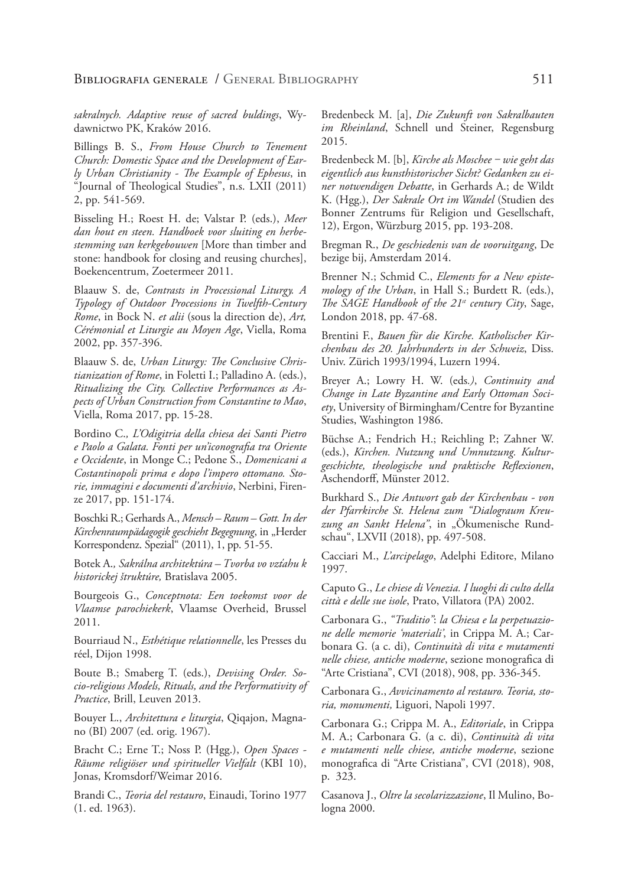*sakralnych. Adaptive reuse of sacred buldings*, Wydawnictwo PK, Kraków 2016.

Billings B. S., *From House Church to Tenement Church: Domestic Space and the Development of Early Urban Christianity - The Example of Ephesus*, in "Journal of Theological Studies", n.s. LXII (2011) 2, pp. 541-569.

Bisseling H.; Roest H. de; Valstar P. (eds.), *Meer dan hout en steen. Handboek voor sluiting en herbestemming van kerkgebouwen* [More than timber and stone: handbook for closing and reusing churches], Boekencentrum, Zoetermeer 2011.

Blaauw S. de, *Contrasts in Processional Liturgy. A Typology of Outdoor Processions in Twelfth-Century Rome*, in Bock N. *et alii* (sous la direction de), *Art, Cérémonial et Liturgie au Moyen Age*, Viella, Roma 2002, pp. 357-396.

Blaauw S. de, *Urban Liturgy: The Conclusive Christianization of Rome*, in Foletti I.; Palladino A. (eds.), *Ritualizing the City. Collective Performances as Aspects of Urban Construction from Constantine to Mao*, Viella, Roma 2017, pp. 15-28.

Bordino C.*, L'Odigitria della chiesa dei Santi Pietro e Paolo a Galata. Fonti per un'iconografia tra Oriente e Occidente*, in Monge C.; Pedone S., *Domenicani a Costantinopoli prima e dopo l'impero ottomano. Storie, immagini e documenti d'archivio*, Nerbini, Firenze 2017, pp. 151-174.

Boschki R.; Gerhards A., *Mensch – Raum – Gott. In der*  Kirchenraumpädagogik geschieht Begegnung, in "Herder Korrespondenz. Spezial" (2011), 1, pp. 51-55.

Botek A.*, Sakrálna architektúra – Tvorba vo vzťahu k historickej štruktúre,* Bratislava 2005.

Bourgeois G., *Conceptnota: Een toekomst voor de Vlaamse parochiekerk*, Vlaamse Overheid, Brussel 2011.

Bourriaud N., *Esthétique relationnelle*, les Presses du réel, Dijon 1998.

Boute B.; Smaberg T. (eds.), *Devising Order. Socio-religious Models, Rituals, and the Performativity of Practice*, Brill, Leuven 2013.

Bouyer L., *Architettura e liturgia*, Qiqajon, Magnano (BI) 2007 (ed. orig. 1967).

Bracht C.; Erne T.; Noss P. (Hgg.), *Open Spaces - Räume religiöser und spiritueller Vielfalt* (KBI 10), Jonas, Kromsdorf/Weimar 2016.

Brandi C., *Teoria del restauro*, Einaudi, Torino 1977 (1. ed. 1963).

Bredenbeck M. [a], *Die Zukunft von Sakralbauten im Rheinland*, Schnell und Steiner, Regensburg 2015.

Bredenbeck M. [b], *Kirche als Moschee ‒ wie geht das eigentlich aus kunsthistorischer Sicht? Gedanken zu einer notwendigen Debatte*, in Gerhards A.; de Wildt K. (Hgg.), *Der Sakrale Ort im Wandel* (Studien des Bonner Zentrums für Religion und Gesellschaft, 12), Ergon, Würzburg 2015, pp. 193-208.

Bregman R., *De geschiedenis van de vooruitgang*, De bezige bij, Amsterdam 2014.

Brenner N.; Schmid C., *Elements for a New epistemology of the Urban*, in Hall S.; Burdett R. (eds.), *The SAGE Handbook of the 21st century City*, Sage, London 2018, pp. 47-68.

Brentini F., *Bauen für die Kirche. Katholischer Kirchenbau des 20. Jahrhunderts in der Schweiz*, Diss. Univ. Zürich 1993/1994, Luzern 1994.

Breyer A.; Lowry H. W. (eds*.)*, *Continuity and Change in Late Byzantine and Early Ottoman Society*, University of Birmingham/Centre for Byzantine Studies, Washington 1986.

Büchse A.; Fendrich H.; Reichling P.; Zahner W. (eds.), *Kirchen. Nutzung und Umnutzung. Kulturgeschichte, theologische und praktische Reflexionen*, Aschendorff, Münster 2012.

Burkhard S., *Die Antwort gab der Kirchenbau - von der Pfarrkirche St. Helena zum "Dialograum Kreu*zung an Sankt Helena", in "Ökumenische Rundschau", LXVII (2018), pp. 497-508.

Cacciari M., *L'arcipelago*, Adelphi Editore, Milano 1997.

Caputo G., *Le chiese di Venezia. I luoghi di culto della città e delle sue isole*, Prato, Villatora (PA) 2002.

Carbonara G., *"Traditio"*: *la Chiesa e la perpetuazione delle memorie 'materiali'*, in Crippa M. A.; Carbonara G. (a c. di), *Continuità di vita e mutamenti nelle chiese, antiche moderne*, sezione monografica di "Arte Cristiana", CVI (2018), 908, pp. 336-345.

Carbonara G., *Avvicinamento al restauro. Teoria, storia, monumenti,* Liguori, Napoli 1997.

Carbonara G.; Crippa M. A., *Editoriale*, in Crippa M. A.; Carbonara G. (a c. di), *Continuità di vita e mutamenti nelle chiese, antiche moderne*, sezione monografica di "Arte Cristiana", CVI (2018), 908, p. 323.

Casanova J., *Oltre la secolarizzazione*, Il Mulino, Bologna 2000.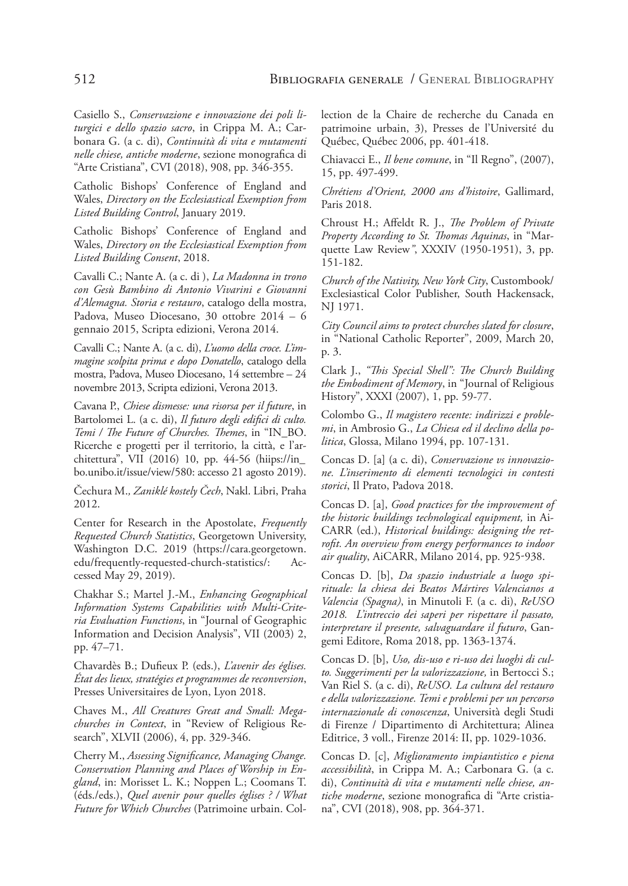Casiello S., *Conservazione e innovazione dei poli liturgici e dello spazio sacro*, in Crippa M. A.; Carbonara G. (a c. di), *Continuità di vita e mutamenti nelle chiese, antiche moderne*, sezione monografica di "Arte Cristiana", CVI (2018), 908, pp. 346-355.

Catholic Bishops' Conference of England and Wales, *Directory on the Ecclesiastical Exemption from Listed Building Control*, January 2019.

Catholic Bishops' Conference of England and Wales, *Directory on the Ecclesiastical Exemption from Listed Building Consent*, 2018.

Cavalli C.; Nante A. (a c. di ), *La Madonna in trono con Gesù Bambino di Antonio Vivarini e Giovanni d'Alemagna. Storia e restauro*, catalogo della mostra, Padova, Museo Diocesano, 30 ottobre 2014 – 6 gennaio 2015, Scripta edizioni, Verona 2014.

Cavalli C.; Nante A. (a c. di), *L'uomo della croce. L'immagine scolpita prima e dopo Donatello*, catalogo della mostra, Padova, Museo Diocesano, 14 settembre – 24 novembre 2013, Scripta edizioni, Verona 2013.

Cavana P., *Chiese dismesse: una risorsa per il future*, in Bartolomei L. (a c. di), *Il futuro degli edifici di culto. Temi / The Future of Churches. Themes*, in "IN\_BO. Ricerche e progetti per il territorio, la città, e l'architettura", VII (2016) 10, pp. 44-56 (hiips://in\_ bo.unibo.it/issue/view/580: accesso 21 agosto 2019).

Čechura M.*, Zaniklé kostely Čech*, Nakl. Libri, Praha 2012.

Center for Research in the Apostolate, *Frequently Requested Church Statistics*, Georgetown University, Washington D.C. 2019 (https://cara.georgetown. edu/frequently-requested-church-statistics/: Accessed May 29, 2019).

Chakhar S.; Martel J.-M., *Enhancing Geographical Information Systems Capabilities with Multi-Criteria Evaluation Functions*, in "Journal of Geographic Information and Decision Analysis", VII (2003) 2, pp. 47–71.

Chavardès B.; Dufieux P. (eds.), *L'avenir des églises. État des lieux, stratégies et programmes de reconversion*, Presses Universitaires de Lyon, Lyon 2018.

Chaves M., *All Creatures Great and Small: Megachurches in Context*, in "Review of Religious Research", XLVII (2006), 4, pp. 329-346.

Cherry M., *Assessing Significance, Managing Change. Conservation Planning and Places of Worship in England*, in: Morisset L. K.; Noppen L.; Coomans T. (éds./eds.), *Quel avenir pour quelles églises ? / What Future for Which Churches* (Patrimoine urbain. Collection de la Chaire de recherche du Canada en patrimoine urbain, 3), Presses de l'Université du Québec, Québec 2006, pp. 401-418.

Chiavacci E., *Il bene comune*, in "Il Regno", (2007), 15, pp. 497-499.

*Chrétiens d'Orient, 2000 ans d'histoire*, Gallimard, Paris 2018.

Chroust H.; Affeldt R. J., *The Problem of Private Property According to St. Thomas Aquinas*, in "Marquette Law Review*"*, XXXIV (1950-1951), 3, pp. 151-182.

*Church of the Nativity, New York City*, Custombook/ Exclesiastical Color Publisher, South Hackensack, NJ 1971.

*City Council aims to protect churches slated for closure*, in "National Catholic Reporter", 2009, March 20, p. 3.

Clark J., *"This Special Shell": The Church Building the Embodiment of Memory*, in "Journal of Religious History", XXXI (2007), 1, pp. 59-77.

Colombo G., *Il magistero recente: indirizzi e problemi*, in Ambrosio G., *La Chiesa ed il declino della politica*, Glossa, Milano 1994, pp. 107-131.

Concas D. [a] (a c. di), *Conservazione vs innovazione. L'inserimento di elementi tecnologici in contesti storici*, Il Prato, Padova 2018.

Concas D. [a], *Good practices for the improvement of the historic buildings technological equipment,* in Ai-CARR (ed.), *Historical buildings: designing the retrofit. An overview from energy performances to indoor air quality*, AiCARR, Milano 2014, pp. 925-938.

Concas D. [b], *Da spazio industriale a luogo spirituale: la chiesa dei Beatos Mártires Valencianos a Valencia (Spagna)*, in Minutoli F. (a c. di), *ReUSO 2018. L'intreccio dei saperi per rispettare il passato, interpretare il presente, salvaguardare il futuro*, Gangemi Editore, Roma 2018, pp. 1363-1374.

Concas D. [b], *Uso, dis-uso e ri-uso dei luoghi di culto. Suggerimenti per la valorizzazione,* in Bertocci S.; Van Riel S. (a c. di), *ReUSO. La cultura del restauro e della valorizzazione. Temi e problemi per un percorso internazionale di conoscenza*, Università degli Studi di Firenze / Dipartimento di Architettura; Alinea Editrice, 3 voll., Firenze 2014: II, pp. 1029-1036.

Concas D. [c], *Miglioramento impiantistico e piena accessibilità*, in Crippa M. A.; Carbonara G. (a c. di), *Continuità di vita e mutamenti nelle chiese, antiche moderne*, sezione monografica di "Arte cristiana", CVI (2018), 908, pp. 364-371.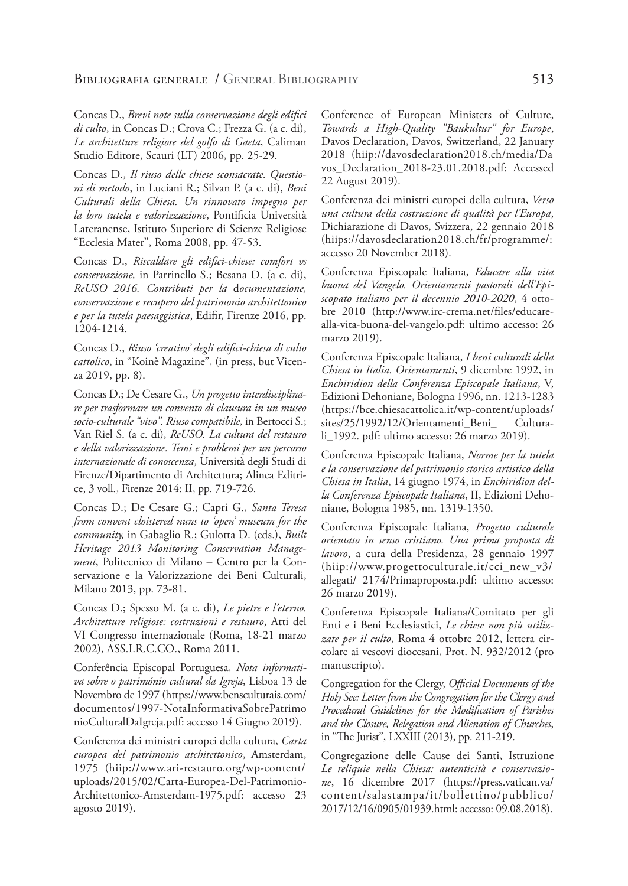Concas D., *Brevi note sulla conservazione degli edifici di culto*, in Concas D.; Crova C.; Frezza G. (a c. di), *Le architetture religiose del golfo di Gaeta*, Caliman Studio Editore, Scauri (LT) 2006, pp. 25-29.

Concas D., *Il riuso delle chiese sconsacrate. Questioni di metodo*, in Luciani R.; Silvan P. (a c. di), *Beni Culturali della Chiesa. Un rinnovato impegno per la loro tutela e valorizzazione*, Pontificia Università Lateranense, Istituto Superiore di Scienze Religiose "Ecclesia Mater", Roma 2008, pp. 47-53.

Concas D., *Riscaldare gli edifici-chiese: comfort vs conservazione,* in Parrinello S.; Besana D. (a c. di), *ReUSO 2016. Contributi per la* d*ocumentazione, conservazione e recupero del patrimonio architettonico e per la tutela paesaggistica*, Edifir, Firenze 2016, pp. 1204-1214.

Concas D., *Riuso 'creativo' degli edifici-chiesa di culto cattolico*, in "Koinè Magazine", (in press, but Vicenza 2019, pp. 8).

Concas D.; De Cesare G., *Un progetto interdisciplinare per trasformare un convento di clausura in un museo socio-culturale "vivo". Riuso compatibile,* in Bertocci S.; Van Riel S. (a c. di), *ReUSO. La cultura del restauro e della valorizzazione. Temi e problemi per un percorso internazionale di conoscenza*, Università degli Studi di Firenze/Dipartimento di Architettura; Alinea Editrice, 3 voll., Firenze 2014: II, pp. 719-726.

Concas D.; De Cesare G.; Capri G., *Santa Teresa from convent cloistered nuns to 'open' museum for the community,* in Gabaglio R.; Gulotta D. (eds.), *Built Heritage 2013 Monitoring Conservation Management*, Politecnico di Milano – Centro per la Conservazione e la Valorizzazione dei Beni Culturali, Milano 2013, pp. 73-81.

Concas D.; Spesso M. (a c. di), *Le pietre e l'eterno. Architetture religiose: costruzioni e restauro*, Atti del VI Congresso internazionale (Roma, 18-21 marzo 2002), ASS.I.R.C.CO., Roma 2011.

Conferência Episcopal Portuguesa, *Nota informativa sobre o património cultural da Igreja*, Lisboa 13 de Novembro de 1997 (https://www.bensculturais.com/ documentos/1997-NotaInformativaSobrePatrimo nioCulturalDaIgreja.pdf: accesso 14 Giugno 2019).

Conferenza dei ministri europei della cultura, *Carta europea del patrimonio atchitettonico*, Amsterdam, 1975 (hiip://www.ari-restauro.org/wp-content/ uploads/2015/02/Carta-Europea-Del-Patrimonio-Architettonico-Amsterdam-1975.pdf: accesso 23 agosto 2019).

Conference of European Ministers of Culture, *Towards a High-Quality "Baukultur" for Europe*, Davos Declaration, Davos, Switzerland, 22 January 2018 (hiip://davosdeclaration2018.ch/media/Da vos\_Declaration\_2018-23.01.2018.pdf: Accessed 22 August 2019).

Conferenza dei ministri europei della cultura, *Verso una cultura della costruzione di qualità per l'Europa*, Dichiarazione di Davos, Svizzera, 22 gennaio 2018 (hiips://davosdeclaration2018.ch/fr/programme/: accesso 20 November 2018).

Conferenza Episcopale Italiana, *Educare alla vita buona del Vangelo. Orientamenti pastorali dell'Episcopato italiano per il decennio 2010-2020*, 4 ottobre 2010 (http://www.irc-crema.net/files/educarealla-vita-buona-del-vangelo.pdf: ultimo accesso: 26 marzo 2019).

Conferenza Episcopale Italiana, *I beni culturali della Chiesa in Italia. Orientamenti*, 9 dicembre 1992, in *Enchiridion della Conferenza Episcopale Italiana*, V, Edizioni Dehoniane, Bologna 1996, nn. 1213-1283 (https://bce.chiesacattolica.it/wp-content/uploads/ sites/25/1992/12/Orientamenti\_Beni\_ Culturali\_1992. pdf: ultimo accesso: 26 marzo 2019).

Conferenza Episcopale Italiana, *Norme per la tutela e la conservazione del patrimonio storico artistico della Chiesa in Italia*, 14 giugno 1974, in *Enchiridion della Conferenza Episcopale Italiana*, II, Edizioni Dehoniane, Bologna 1985, nn. 1319-1350.

Conferenza Episcopale Italiana, *Progetto culturale orientato in senso cristiano. Una prima proposta di lavoro*, a cura della Presidenza, 28 gennaio 1997 (hiip://www.progettoculturale.it/cci\_new\_v3/ allegati/ 2174/Primaproposta.pdf: ultimo accesso: 26 marzo 2019).

Conferenza Episcopale Italiana/Comitato per gli Enti e i Beni Ecclesiastici, *Le chiese non più utilizzate per il culto*, Roma 4 ottobre 2012, lettera circolare ai vescovi diocesani, Prot. N. 932/2012 (pro manuscripto).

Congregation for the Clergy, *Official Documents of the Holy See: Letter from the Congregation for the Clergy and Procedural Guidelines for the Modification of Parishes and the Closure, Relegation and Alienation of Churches*, in "The Jurist", LXXIII (2013), pp. 211-219.

Congregazione delle Cause dei Santi, Istruzione *Le reliquie nella Chiesa: autenticità e conservazione*, 16 dicembre 2017 (https://press.vatican.va/ content/salastampa/it/bollettino/pubblico/ 2017/12/16/0905/01939.html: accesso: 09.08.2018).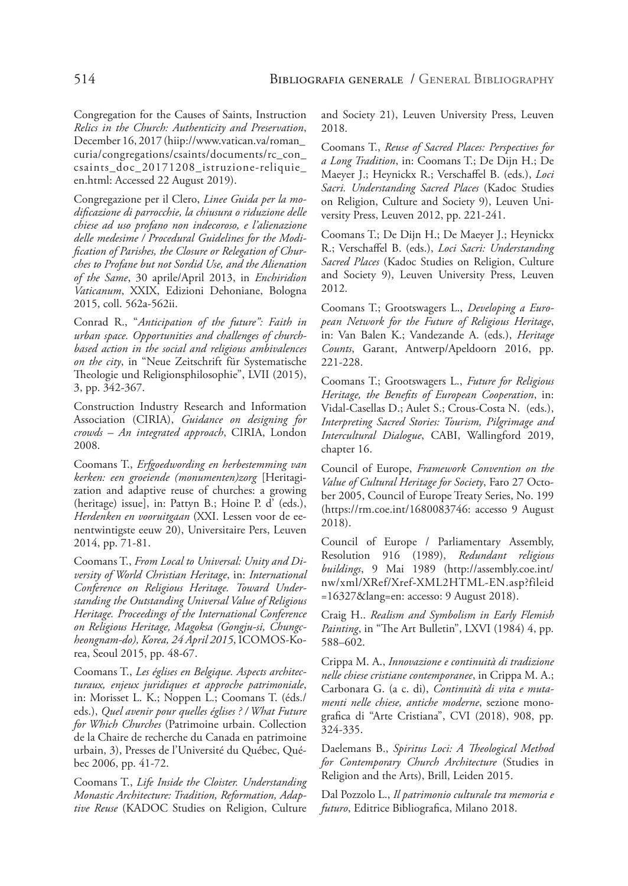Congregation for the Causes of Saints, Instruction *Relics in the Church: Authenticity and Preservation*, December 16, 2017 (hiip://www.vatican.va/roman\_ curia/congregations/csaints/documents/rc\_con\_ csaints\_doc\_20171208\_istruzione-reliquie\_ en.html: Accessed 22 August 2019).

Congregazione per il Clero, *Linee Guida per la modificazione di parrocchie, la chiusura o riduzione delle chiese ad uso profano non indecoroso, e l'alienazione delle medesime / Procedural Guidelines for the Modification of Parishes, the Closure or Relegation of Churches to Profane but not Sordid Use, and the Alienation of the Same*, 30 aprile/April 2013, in *Enchiridion Vaticanum*, XXIX, Edizioni Dehoniane, Bologna 2015, coll. 562a-562ii.

Conrad R., "*Anticipation of the future": Faith in urban space. Opportunities and challenges of churchbased action in the social and religious ambivalences on the city*, in "Neue Zeitschrift für Systematische Theologie und Religionsphilosophie", LVII (2015), 3, pp. 342-367.

Construction Industry Research and Information Association (CIRIA), *Guidance on designing for crowds – An integrated approach*, CIRIA, London 2008.

Coomans T., *Erfgoedwording en herbestemming van kerken: een groeiende (monumenten)zorg* [Heritagization and adaptive reuse of churches: a growing (heritage) issue], in: Pattyn B.; Hoine P. d' (eds.), *Herdenken en vooruitgaan* (XXI. Lessen voor de eenentwintigste eeuw 20), Universitaire Pers, Leuven 2014, pp. 71-81.

Coomans T., *From Local to Universal: Unity and Diversity of World Christian Heritage*, in: *International Conference on Religious Heritage. Toward Understanding the Outstanding Universal Value of Religious Heritage. Proceedings of the International Conference on Religious Heritage, Magoksa (Gongju-si, Chungcheongnam-do), Korea, 24 April 2015*, ICOMOS-Korea, Seoul 2015, pp. 48-67.

Coomans T., *Les églises en Belgique. Aspects architecturaux, enjeux juridiques et approche patrimoniale*, in: Morisset L. K.; Noppen L.; Coomans T. (éds./ eds.), *Quel avenir pour quelles églises ? / What Future for Which Churches* (Patrimoine urbain. Collection de la Chaire de recherche du Canada en patrimoine urbain, 3), Presses de l'Université du Québec, Québec 2006, pp. 41-72.

Coomans T., *Life Inside the Cloister. Understanding Monastic Architecture: Tradition, Reformation, Adaptive Reuse* (KADOC Studies on Religion, Culture and Society 21), Leuven University Press, Leuven 2018.

Coomans T., *Reuse of Sacred Places: Perspectives for a Long Tradition*, in: Coomans T.; De Dijn H.; De Maeyer J.; Heynickx R.; Verschaffel B. (eds.), *Loci Sacri. Understanding Sacred Places* (Kadoc Studies on Religion, Culture and Society 9), Leuven University Press, Leuven 2012, pp. 221-241.

Coomans T.; De Dijn H.; De Maeyer J.; Heynickx R.; Verschaffel B. (eds.), *Loci Sacri: Understanding Sacred Places* (Kadoc Studies on Religion, Culture and Society 9), Leuven University Press, Leuven 2012.

Coomans T.; Grootswagers L., *Developing a European Network for the Future of Religious Heritage*, in: Van Balen K.; Vandezande A. (eds.), *Heritage Counts*, Garant, Antwerp/Apeldoorn 2016, pp. 221-228.

Coomans T.; Grootswagers L., *Future for Religious Heritage, the Benefits of European Cooperation*, in: Vidal-Casellas D.; Aulet S.; Crous-Costa N. (eds.), *Interpreting Sacred Stories: Tourism, Pilgrimage and Intercultural Dialogue*, CABI, Wallingford 2019, chapter 16.

Council of Europe, *Framework Convention on the Value of Cultural Heritage for Society*, Faro 27 October 2005, Council of Europe Treaty Series, No. 199 (https://rm.coe.int/1680083746: accesso 9 August 2018).

Council of Europe / Parliamentary Assembly, Resolution 916 (1989), *Redundant religious buildings*, 9 Mai 1989 (http://assembly.coe.int/ nw/xml/XRef/Xref-XML2HTML-EN.asp?fileid =16327&lang=en: accesso: 9 August 2018).

Craig H.. *Realism and Symbolism in Early Flemish Painting*, in "The Art Bulletin", LXVI (1984) 4, pp. 588–602.

Crippa M. A., *Innovazione e continuità di tradizione nelle chiese cristiane contemporanee*, in Crippa M. A.; Carbonara G. (a c. di), *Continuità di vita e mutamenti nelle chiese, antiche moderne*, sezione monografica di "Arte Cristiana", CVI (2018), 908, pp. 324-335.

Daelemans B., *Spiritus Loci: A Theological Method for Contemporary Church Architecture* (Studies in Religion and the Arts), Brill, Leiden 2015.

Dal Pozzolo L., *Il patrimonio culturale tra memoria e futuro*, Editrice Bibliografica, Milano 2018.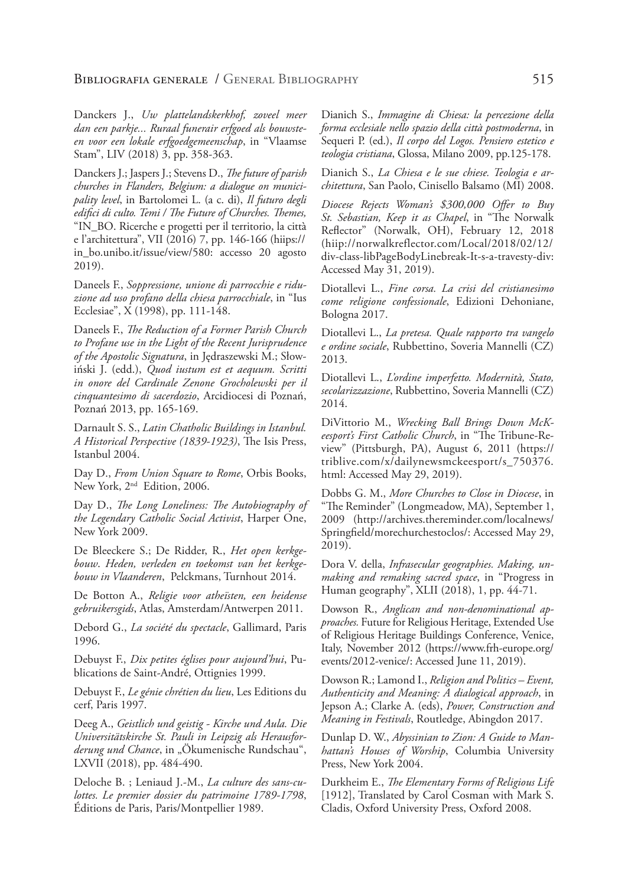Danckers J., *Uw plattelandskerkhof, zoveel meer dan een parkje... Ruraal funerair erfgoed als bouwsteen voor een lokale erfgoedgemeenschap*, in "Vlaamse Stam", LIV (2018) 3, pp. 358-363.

Danckers J.; Jaspers J.; Stevens D., *The future of parish churches in Flanders, Belgium: a dialogue on municipality level*, in Bartolomei L. (a c. di), *Il futuro degli edifici di culto. Temi / The Future of Churches. Themes,* "IN\_BO. Ricerche e progetti per il territorio, la città e l'architettura", VII (2016) 7, pp. 146-166 (hiips:// in\_bo.unibo.it/issue/view/580: accesso 20 agosto 2019).

Daneels F., *Soppressione, unione di parrocchie e riduzione ad uso profano della chiesa parrocchiale*, in "Ius Ecclesiae", X (1998), pp. 111-148.

Daneels F., *The Reduction of a Former Parish Church to Profane use in the Light of the Recent Jurisprudence of the Apostolic Signatura*, in Jędraszewski M.; Słowiński J. (edd.), *Quod iustum est et aequum. Scritti in onore del Cardinale Zenone Grocholewski per il cinquantesimo di sacerdozio*, Arcidiocesi di Poznań, Poznań 2013, pp. 165-169.

Darnault S. S., *Latin Chatholic Buildings in Istanbul. A Historical Perspective (1839-1923)*, The Isis Press, Istanbul 2004.

Day D., *From Union Square to Rome*, Orbis Books, New York, 2nd Edition, 2006.

Day D., *The Long Loneliness: The Autobiography of the Legendary Catholic Social Activist*, Harper One, New York 2009.

De Bleeckere S.; De Ridder, R., *Het open kerkgebouw*. *Heden, verleden en toekomst van het kerkgebouw in Vlaanderen*, Pelckmans, Turnhout 2014.

De Botton A., *Religie voor atheïsten, een heidense gebruikersgids*, Atlas, Amsterdam/Antwerpen 2011.

Debord G., *La société du spectacle*, Gallimard, Paris 1996.

Debuyst F., *Dix petites églises pour aujourd'hui*, Publications de Saint-André, Ottignies 1999.

Debuyst F., *Le génie chrétien du lieu*, Les Editions du cerf, Paris 1997.

Deeg A., *Geistlich und geistig - Kirche und Aula. Die Universitätskirche St. Pauli in Leipzig als Herausfor*derung und Chance, in "Ökumenische Rundschau", LXVII (2018), pp. 484-490.

Deloche B. ; Leniaud J.-M., *La culture des sans-culottes. Le premier dossier du patrimoine 1789-1798*, Éditions de Paris, Paris/Montpellier 1989.

Dianich S., *Immagine di Chiesa: la percezione della forma ecclesiale nello spazio della città postmoderna*, in Sequeri P. (ed.), *Il corpo del Logos. Pensiero estetico e teologia cristiana*, Glossa, Milano 2009, pp.125-178.

Dianich S., *La Chiesa e le sue chiese. Teologia e architettura*, San Paolo, Cinisello Balsamo (MI) 2008.

*Diocese Rejects Woman's \$300,000 Offer to Buy St. Sebastian, Keep it as Chapel*, in "The Norwalk Reflector" (Norwalk, OH), February 12, 2018 (hiip://norwalkreflector.com/Local/2018/02/12/ div-class-libPageBodyLinebreak-It-s-a-travesty-div: Accessed May 31, 2019).

Diotallevi L., *Fine corsa. La crisi del cristianesimo come religione confessionale*, Edizioni Dehoniane, Bologna 2017.

Diotallevi L., *La pretesa. Quale rapporto tra vangelo e ordine sociale*, Rubbettino, Soveria Mannelli (CZ) 2013.

Diotallevi L., *L'ordine imperfetto. Modernità, Stato, secolarizzazione*, Rubbettino, Soveria Mannelli (CZ) 2014.

DiVittorio M., *Wrecking Ball Brings Down McKeesport's First Catholic Church*, in "The Tribune-Review" (Pittsburgh, PA), August 6, 2011 (https:// triblive.com/x/dailynewsmckeesport/s\_750376. html: Accessed May 29, 2019).

Dobbs G. M., *More Churches to Close in Diocese*, in "The Reminder" (Longmeadow, MA), September 1, 2009 (http://archives.thereminder.com/localnews/ Springfield/morechurchestoclos/: Accessed May 29, 2019).

Dora V. della, *Infrasecular geographies. Making, unmaking and remaking sacred space*, in "Progress in Human geography", XLII (2018), 1, pp. 44-71.

Dowson R., *Anglican and non-denominational approaches.* Future for Religious Heritage, Extended Use of Religious Heritage Buildings Conference, Venice, Italy, November 2012 (https://www.frh-europe.org/ events/2012-venice/: Accessed June 11, 2019).

Dowson R.; Lamond I., *Religion and Politics – Event, Authenticity and Meaning: A dialogical approach*, in Jepson A.; Clarke A. (eds), *Power, Construction and Meaning in Festivals*, Routledge, Abingdon 2017.

Dunlap D. W., *Abyssinian to Zion: A Guide to Manhattan's Houses of Worship*, Columbia University Press, New York 2004.

Durkheim E., *The Elementary Forms of Religious Life* [1912], Translated by Carol Cosman with Mark S. Cladis, Oxford University Press, Oxford 2008.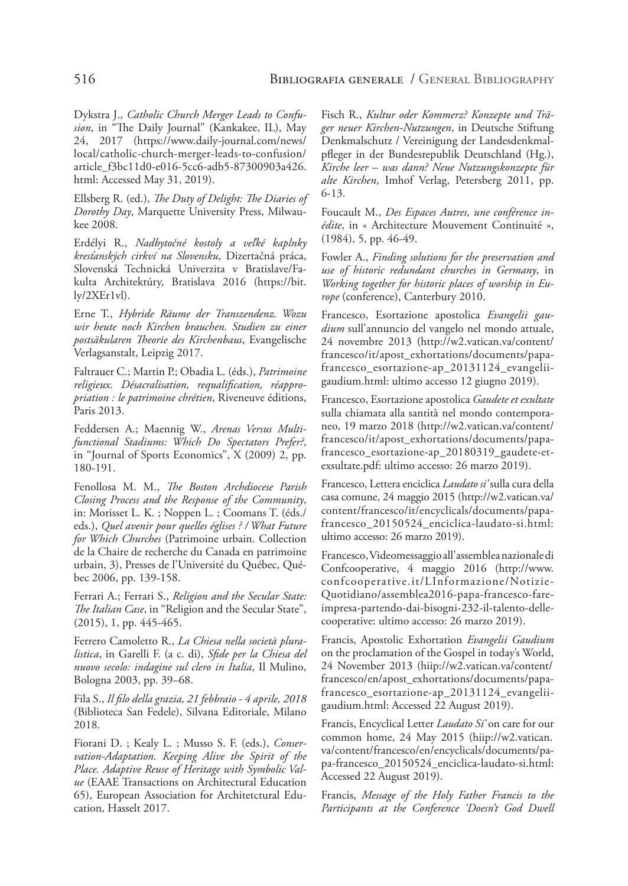Dykstra J., *Catholic Church Merger Leads to Confusion*, in "The Daily Journal" (Kankakee, IL), May 24, 2017 (https://www.daily-journal.com/news/ local/catholic-church-merger-leads-to-confusion/ article\_f3bc11d0-e016-5cc6-adb5-87300903a426. html: Accessed May 31, 2019).

Ellsberg R. (ed.), *The Duty of Delight: The Diaries of Dorothy Day*, Marquette University Press, Milwaukee 2008.

Erdélyi R., *Nadbytočné kostoly a veľké kaplnky kresťanských cirkví na Slovensku*, Dizertačná práca, Slovenská Technická Univerzita v Bratislave/Fakulta Architektúry, Bratislava 2016 (https://bit.  $\frac{1}{\sqrt{2\text{Ker1vl}}}$ .

Erne T., *Hybride Räume der Transzendenz. Wozu wir heute noch Kirchen brauchen. Studien zu einer postsäkularen Theorie des Kirchenbaus*, Evangelische Verlagsanstalt, Leipzig 2017.

Faltrauer C.; Martin P.; Obadia L. (éds.), *Patrimoine religieux. Désacralisation, requalification, réappropriation : le patrimoine chrétien*, Riveneuve éditions, Paris 2013.

Feddersen A.; Maennig W., *Arenas Versus Multifunctional Stadiums: Which Do Spectators Prefer?*, in "Journal of Sports Economics", X (2009) 2, pp. 180-191.

Fenollosa M. M., *The Boston Archdiocese Parish Closing Process and the Response of the Community*, in: Morisset L. K. ; Noppen L. ; Coomans T. (éds./ eds.), *Quel avenir pour quelles églises ? / What Future for Which Churches* (Patrimoine urbain. Collection de la Chaire de recherche du Canada en patrimoine urbain, 3), Presses de l'Université du Québec, Québec 2006, pp. 139-158.

Ferrari A.; Ferrari S., *Religion and the Secular State: The Italian Case*, in "Religion and the Secular State", (2015), 1, pp. 445-465.

Ferrero Camoletto R., *La Chiesa nella società pluralistica*, in Garelli F. (a c. di), *Sfide per la Chiesa del nuovo secolo: indagine sul clero in Italia*, Il Mulino, Bologna 2003, pp. 39–68.

Fila S., *Il filo della grazia, 21 febbraio - 4 aprile, 2018* (Biblioteca San Fedele), Silvana Editoriale, Milano 2018.

Fiorani D. ; Kealy L. ; Musso S. F. (eds.), *Conservation-Adaptation. Keeping Alive the Spirit of the Place. Adaptive Reuse of Heritage with Symbolic Value* (EAAE Transactions on Architectural Education 65), European Association for Architetctural Education, Hasselt 2017.

Fisch R., *Kultur oder Kommerz? Konzepte und Träger neuer Kirchen-Nutzungen*, in Deutsche Stiftung Denkmalschutz / Vereinigung der Landesdenkmalpfleger in der Bundesrepublik Deutschland (Hg.), *Kirche leer – was dann? Neue Nutzungskonzepte für alte Kirchen*, Imhof Verlag, Petersberg 2011, pp. 6-13.

Foucault M., *Des Espaces Autres, une conférence inédite*, in « Architecture Mouvement Continuité », (1984), 5, pp. 46-49.

Fowler A., *Finding solutions for the preservation and use of historic redundant churches in Germany*, in *Working together for historic places of worship in Europe* (conference), Canterbury 2010.

Francesco, Esortazione apostolica *Evangelii gaudium* sull'annuncio del vangelo nel mondo attuale, 24 novembre 2013 (http://w2.vatican.va/content/ francesco/it/apost\_exhortations/documents/papafrancesco\_esortazione-ap\_20131124\_evangeliigaudium.html: ultimo accesso 12 giugno 2019).

Francesco, Esortazione apostolica *Gaudete et exultate* sulla chiamata alla santità nel mondo contemporaneo, 19 marzo 2018 (http://w2.vatican.va/content/ francesco/it/apost\_exhortations/documents/papafrancesco\_esortazione-ap\_20180319\_gaudete-etexsultate.pdf: ultimo accesso: 26 marzo 2019).

Francesco, Lettera enciclica *Laudato si'* sulla cura della casa comune, 24 maggio 2015 (http://w2.vatican.va/ content/francesco/it/encyclicals/documents/papafrancesco\_20150524\_enciclica-laudato-si.html: ultimo accesso: 26 marzo 2019).

Francesco, Videomessaggio all'assemblea nazionale di Confcooperative, 4 maggio 2016 (http://www. confcooperative.it/LInformazione/Notizie-Quotidiano/assemblea2016-papa-francesco-fareimpresa-partendo-dai-bisogni-232-il-talento-dellecooperative: ultimo accesso: 26 marzo 2019).

Francis, Apostolic Exhortation *Evangelii Gaudium*  on the proclamation of the Gospel in today's World, 24 November 2013 (hiip://w2.vatican.va/content/ francesco/en/apost\_exhortations/documents/papafrancesco\_esortazione-ap\_20131124\_evangeliigaudium.html: Accessed 22 August 2019).

Francis, Encyclical Letter *Laudato Si'* on care for our common home, 24 May 2015 (hiip://w2.vatican. va/content/francesco/en/encyclicals/documents/papa-francesco\_20150524\_enciclica-laudato-si.html: Accessed 22 August 2019).

Francis, *Message of the Holy Father Francis to the Participants at the Conference 'Doesn't God Dwell*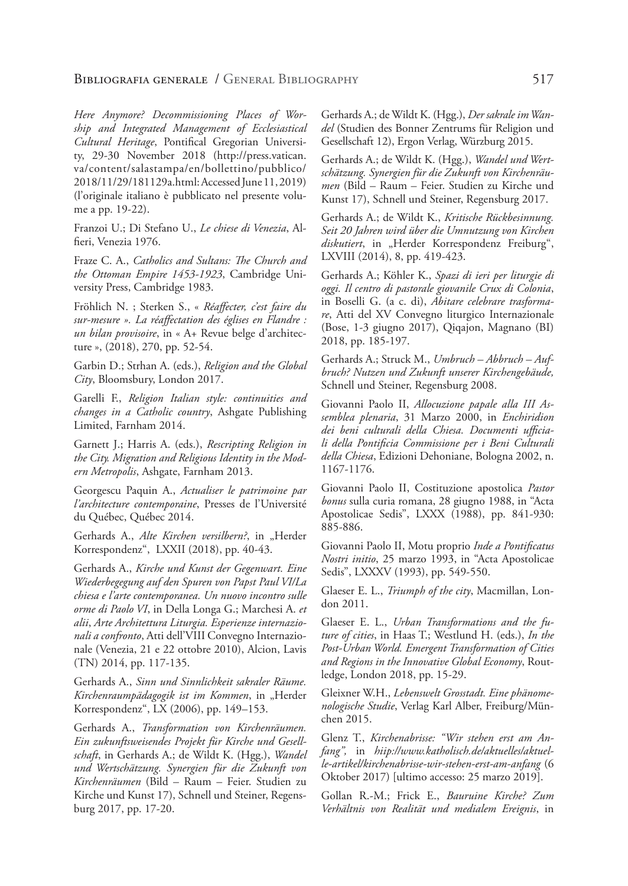*Here Anymore? Decommissioning Places of Worship and Integrated Management of Ecclesiastical Cultural Heritage*, Pontifical Gregorian University, 29-30 November 2018 (http://press.vatican. va/content/salastampa/en/bollettino/pubblico/ 2018/11/29/181129a.html: Accessed June 11, 2019) (l'originale italiano è pubblicato nel presente volume a pp. 19-22).

Franzoi U.; Di Stefano U., *Le chiese di Venezia*, Alfieri, Venezia 1976.

Fraze C. A., *Catholics and Sultans: The Church and the Ottoman Empire 1453-1923*, Cambridge University Press, Cambridge 1983.

Fröhlich N. ; Sterken S., « *Réaffecter, c'est faire du sur-mesure ». La réaffectation des églises en Flandre : un bilan provisoire*, in « A+ Revue belge d'architecture », (2018), 270, pp. 52-54.

Garbin D.; Strhan A. (eds.), *Religion and the Global City*, Bloomsbury, London 2017.

Garelli F., *Religion Italian style: continuities and changes in a Catholic country*, Ashgate Publishing Limited, Farnham 2014.

Garnett J.; Harris A. (eds.), *Rescripting Religion in the City. Migration and Religious Identity in the Modern Metropolis*, Ashgate, Farnham 2013.

Georgescu Paquin A., *Actualiser le patrimoine par l'architecture contemporaine*, Presses de l'Université du Québec, Québec 2014.

Gerhards A., Alte Kirchen versilbern?, in "Herder Korrespondenz", LXXII (2018), pp. 40-43.

Gerhards A., *Kirche und Kunst der Gegenwart. Eine Wiederbegegung auf den Spuren von Papst Paul VI/La chiesa e l'arte contemporanea. Un nuovo incontro sulle orme di Paolo VI*, in Della Longa G.; Marchesi A. *et alii*, *Arte Architettura Liturgia. Esperienze internazionali a confronto*, Atti dell'VIII Convegno Internazionale (Venezia, 21 e 22 ottobre 2010), Alcion, Lavis (TN) 2014, pp. 117-135.

Gerhards A., *Sinn und Sinnlichkeit sakraler Räume.*  Kirchenraumpädagogik ist im Kommen, in "Herder Korrespondenz", LX (2006), pp. 149–153.

Gerhards A., *Transformation von Kirchenräumen. Ein zukunftsweisendes Projekt für Kirche und Gesellschaft*, in Gerhards A.; de Wildt K. (Hgg.), *Wandel und Wertschätzung. Synergien für die Zukunft von Kirchenräumen* (Bild – Raum – Feier. Studien zu Kirche und Kunst 17), Schnell und Steiner, Regensburg 2017, pp. 17-20.

Gerhards A.; de Wildt K. (Hgg.), *Der sakrale im Wandel* (Studien des Bonner Zentrums für Religion und Gesellschaft 12), Ergon Verlag, Würzburg 2015.

Gerhards A.; de Wildt K. (Hgg.), *Wandel und Wertschätzung. Synergien für die Zukunft von Kirchenräumen* (Bild – Raum – Feier. Studien zu Kirche und Kunst 17), Schnell und Steiner, Regensburg 2017.

Gerhards A.; de Wildt K., *Kritische Rückbesinnung. Seit 20 Jahren wird über die Umnutzung von Kirchen*  diskutiert, in "Herder Korrespondenz Freiburg", LXVIII (2014), 8, pp. 419-423.

Gerhards A.; Köhler K., *Spazi di ieri per liturgie di oggi. Il centro di pastorale giovanile Crux di Colonia*, in Boselli G. (a c. di), *Abitare celebrare trasformare*, Atti del XV Convegno liturgico Internazionale (Bose, 1-3 giugno 2017), Qiqajon, Magnano (BI) 2018, pp. 185-197.

Gerhards A.; Struck M., *Umbruch – Abbruch – Aufbruch? Nutzen und Zukunft unserer Kirchengebäude,*  Schnell und Steiner, Regensburg 2008.

Giovanni Paolo II, *Allocuzione papale alla III Assemblea plenaria*, 31 Marzo 2000, in *Enchiridion dei beni culturali della Chiesa. Documenti ufficiali della Pontificia Commissione per i Beni Culturali della Chiesa*, Edizioni Dehoniane, Bologna 2002, n. 1167-1176.

Giovanni Paolo II, Costituzione apostolica *Pastor bonus* sulla curia romana, 28 giugno 1988, in "Acta Apostolicae Sedis", LXXX (1988), pp. 841-930: 885-886.

Giovanni Paolo II, Motu proprio *Inde a Pontificatus Nostri initio*, 25 marzo 1993, in "Acta Apostolicae Sedis", LXXXV (1993), pp. 549-550.

Glaeser E. L., *Triumph of the city*, Macmillan, London 2011.

Glaeser E. L., *Urban Transformations and the future of cities*, in Haas T.; Westlund H. (eds.), *In the Post-Urban World. Emergent Transformation of Cities and Regions in the Innovative Global Economy*, Routledge, London 2018, pp. 15-29.

Gleixner W.H., *Lebenswelt Grosstadt. Eine phänomenologische Studie*, Verlag Karl Alber, Freiburg/München 2015.

Glenz T., *Kirchenabrisse: "Wir stehen erst am Anfang",* in *hiip://www.katholisch.de/aktuelles/aktuelle-artikel/kirchenabrisse-wir-stehen-erst-am-anfang* (6 Oktober 2017) [ultimo accesso: 25 marzo 2019].

Gollan R.-M.; Frick E., *Bauruine Kirche? Zum Verhältnis von Realität und medialem Ereignis*, in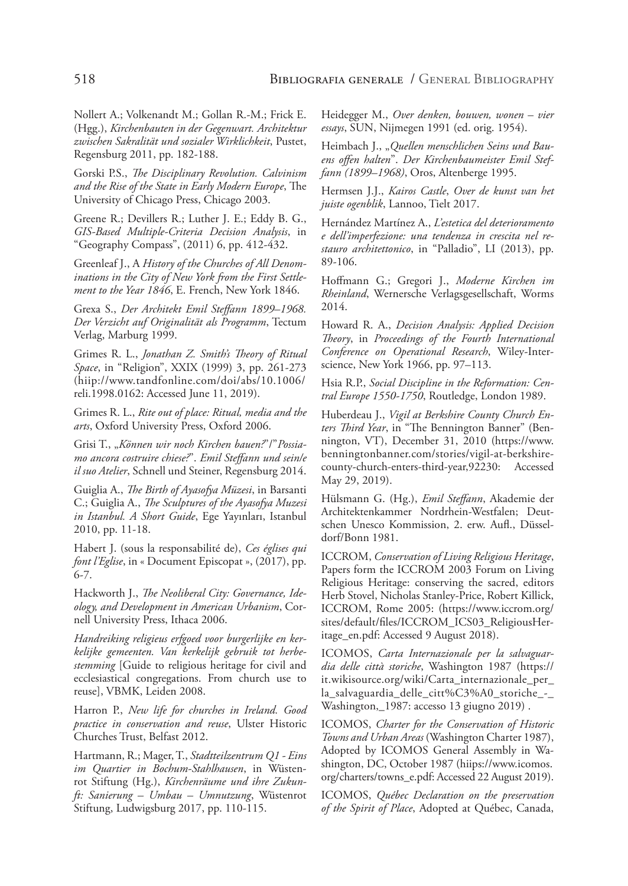Nollert A.; Volkenandt M.; Gollan R.-M.; Frick E. (Hgg.), *Kirchenbauten in der Gegenwart. Architektur zwischen Sakralität und sozialer Wirklichkeit*, Pustet, Regensburg 2011, pp. 182-188.

Gorski P.S., *The Disciplinary Revolution. Calvinism and the Rise of the State in Early Modern Europe*, The University of Chicago Press, Chicago 2003.

Greene R.; Devillers R.; Luther J. E.; Eddy B. G., *GIS-Based Multiple-Criteria Decision Analysis*, in "Geography Compass", (2011) 6, pp. 412-432.

Greenleaf J., A *History of the Churches of All Denominations in the City of New York from the First Settlement to the Year 1846*, E. French, New York 1846.

Grexa S., *Der Architekt Emil Steffann 1899–1968. Der Verzicht auf Originalität als Programm*, Tectum Verlag, Marburg 1999.

Grimes R. L., *Jonathan Z. Smith's Theory of Ritual Space*, in "Religion", XXIX (1999) 3, pp. 261-273 (hiip://www.tandfonline.com/doi/abs/10.1006/ reli.1998.0162: Accessed June 11, 2019).

Grimes R. L., *Rite out of place: Ritual, media and the arts*, Oxford University Press, Oxford 2006.

Grisi T., "*Können wir noch Kirchen bauen?*"/"*Possiamo ancora costruire chiese?*". *Emil Steffann und sein/e il suo Atelier*, Schnell und Steiner, Regensburg 2014.

Guiglia A., *The Birth of Ayasofya Müzesi*, in Barsanti C.; Guiglia A., *The Sculptures of the Ayasofya Muzesi in Istanbul. A Short Guide*, Ege Yayınları, Istanbul 2010, pp. 11-18.

Habert J. (sous la responsabilité de), *Ces églises qui font l'Eglise*, in « Document Episcopat », (2017), pp. 6-7.

Hackworth J., *The Neoliberal City: Governance, Ideology, and Development in American Urbanism*, Cornell University Press, Ithaca 2006.

*Handreiking religieus erfgoed voor burgerlijke en kerkelijke gemeenten. Van kerkelijk gebruik tot herbestemming* [Guide to religious heritage for civil and ecclesiastical congregations. From church use to reuse], VBMK, Leiden 2008.

Harron P., *New life for churches in Ireland. Good practice in conservation and reuse*, Ulster Historic Churches Trust, Belfast 2012.

Hartmann, R.; Mager, T., *Stadtteilzentrum Q1 - Eins im Quartier in Bochum-Stahlhausen*, in Wüstenrot Stiftung (Hg.), *Kirchenräume und ihre Zukunft: Sanierung – Umbau – Umnutzung*, Wüstenrot Stiftung, Ludwigsburg 2017, pp. 110-115.

Heidegger M., *Over denken, bouwen, wonen* – *vier essays*, SUN, Nijmegen 1991 (ed. orig. 1954).

Heimbach J., "*Quellen menschlichen Seins und Bauens offen halten*". *Der Kirchenbaumeister Emil Steffann (1899–1968)*, Oros, Altenberge 1995.

Hermsen J.J., *Kairos Castle*, *Over de kunst van het juiste ogenblik*, Lannoo, Tielt 2017.

Hernández Martínez A., *L'estetica del deterioramento e dell'imperfezione: una tendenza in crescita nel restauro architettonico*, in "Palladio", LI (2013), pp. 89-106.

Hoffmann G.; Gregori J., *Moderne Kirchen im Rheinland*, Wernersche Verlagsgesellschaft, Worms 2014.

Howard R. A., *Decision Analysis: Applied Decision Theory*, in *Proceedings of the Fourth International Conference on Operational Research*, Wiley-Interscience, New York 1966, pp. 97–113.

Hsia R.P., *Social Discipline in the Reformation: Central Europe 1550-1750*, Routledge, London 1989.

Huberdeau J., *Vigil at Berkshire County Church Enters Third Year*, in "The Bennington Banner" (Bennington, VT), December 31, 2010 (https://www. benningtonbanner.com/stories/vigil-at-berkshirecounty-church-enters-third-year,92230: Accessed May 29, 2019).

Hülsmann G. (Hg.), *Emil Steffann*, Akademie der Architektenkammer Nordrhein-Westfalen; Deutschen Unesco Kommission, 2. erw. Aufl., Düsseldorf/Bonn 1981.

ICCROM, *Conservation of Living Religious Heritage*, Papers form the ICCROM 2003 Forum on Living Religious Heritage: conserving the sacred, editors Herb Stovel, Nicholas Stanley-Price, Robert Killick, ICCROM, Rome 2005: (https://www.iccrom.org/ sites/default/files/ICCROM\_ICS03\_ReligiousHeritage\_en.pdf: Accessed 9 August 2018).

ICOMOS, *Carta Internazionale per la salvaguardia delle città storiche*, Washington 1987 (https:// it.wikisource.org/wiki/Carta\_internazionale\_per\_ la\_salvaguardia\_delle\_citt%C3%A0\_storiche\_-\_ Washington,\_1987: accesso 13 giugno 2019) .

ICOMOS, *Charter for the Conservation of Historic Towns and Urban Areas* (Washington Charter 1987), Adopted by ICOMOS General Assembly in Washington, DC, October 1987 (hiips://www.icomos. org/charters/towns\_e.pdf: Accessed 22 August 2019).

ICOMOS, *Québec Declaration on the preservation of the Spirit of Place*, Adopted at Québec, Canada,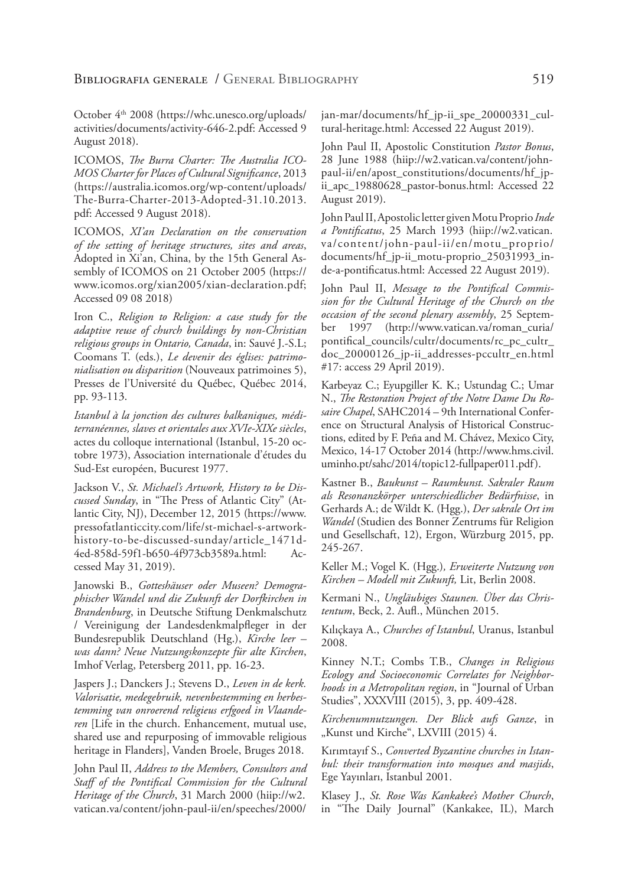October 4th 2008 (https://whc.unesco.org/uploads/ activities/documents/activity-646-2.pdf: Accessed 9 August 2018).

ICOMOS, *The Burra Charter: The Australia ICO-MOS Charter for Places of Cultural Significance*, 2013 (https://australia.icomos.org/wp-content/uploads/ The-Burra-Charter-2013-Adopted-31.10.2013. pdf: Accessed 9 August 2018).

ICOMOS, *XI'an Declaration on the conservation of the setting of heritage structures, sites and areas*, Adopted in Xi'an, China, by the 15th General Assembly of ICOMOS on 21 October 2005 (https:// www.icomos.org/xian2005/xian-declaration.pdf; Accessed 09 08 2018)

Iron C., *Religion to Religion: a case study for the adaptive reuse of church buildings by non-Christian religious groups in Ontario, Canada*, in: Sauvé J.-S.L; Coomans T. (eds.), *Le devenir des églises: patrimonialisation ou disparition* (Nouveaux patrimoines 5), Presses de l'Université du Québec, Québec 2014, pp. 93-113.

*Istanbul à la jonction des cultures balkaniques, méditerranéennes, slaves et orientales aux XVIe-XIXe siècles*, actes du colloque international (Istanbul, 15-20 octobre 1973), Association internationale d'études du Sud-Est européen, Bucurest 1977.

Jackson V., *St. Michael's Artwork, History to be Discussed Sunday*, in "The Press of Atlantic City" (Atlantic City, NJ), December 12, 2015 (https://www. pressofatlanticcity.com/life/st-michael-s-artworkhistory-to-be-discussed-sunday/article\_1471d-4ed-858d-59f1-b650-4f973cb3589a.html: Accessed May 31, 2019).

Janowski B., *Gotteshäuser oder Museen? Demographischer Wandel und die Zukunft der Dorfkirchen in Brandenburg*, in Deutsche Stiftung Denkmalschutz / Vereinigung der Landesdenkmalpfleger in der Bundesrepublik Deutschland (Hg.), *Kirche leer – was dann? Neue Nutzungskonzepte für alte Kirchen*, Imhof Verlag, Petersberg 2011, pp. 16-23.

Jaspers J.; Danckers J.; Stevens D., *Leven in de kerk. Valorisatie, medegebruik, nevenbestemming en herbestemming van onroerend religieus erfgoed in Vlaanderen* [Life in the church. Enhancement, mutual use, shared use and repurposing of immovable religious heritage in Flanders], Vanden Broele, Bruges 2018.

John Paul II, *Address to the Members, Consultors and Staff of the Pontifical Commission for the Cultural Heritage of the Church*, 31 March 2000 (hiip://w2. vatican.va/content/john-paul-ii/en/speeches/2000/ jan-mar/documents/hf\_jp-ii\_spe\_20000331\_cultural-heritage.html: Accessed 22 August 2019).

John Paul II, Apostolic Constitution *Pastor Bonus*, 28 June 1988 (hiip://w2.vatican.va/content/johnpaul-ii/en/apost\_constitutions/documents/hf\_jpii apc 19880628 pastor-bonus.html: Accessed 22 August 2019).

John Paul II, Apostolic letter given Motu Proprio *Inde a Pontificatus*, 25 March 1993 (hiip://w2.vatican. va/content/john-paul-ii/en/motu\_proprio/ documents/hf\_jp-ii\_motu-proprio\_25031993\_inde-a-pontificatus.html: Accessed 22 August 2019).

John Paul II, *Message to the Pontifical Commission for the Cultural Heritage of the Church on the occasion of the second plenary assembly*, 25 September 1997 (http://www.vatican.va/roman\_curia/ pontifical\_councils/cultr/documents/rc\_pc\_cultr\_ doc\_20000126\_jp-ii\_addresses-pccultr\_en.html #17: access 29 April 2019).

Karbeyaz C.; Eyupgiller K. K.; Ustundag C.; Umar N., *The Restoration Project of the Notre Dame Du Rosaire Chapel*, SAHC2014 – 9th International Conference on Structural Analysis of Historical Constructions, edited by F. Peña and M. Chávez, Mexico City, Mexico, 14-17 October 2014 (http://www.hms.civil. uminho.pt/sahc/2014/topic12-fullpaper011.pdf).

Kastner B., *Baukunst – Raumkunst. Sakraler Raum als Resonanzkörper unterschiedlicher Bedürfnisse*, in Gerhards A.; de Wildt K. (Hgg.), *Der sakrale Ort im Wandel* (Studien des Bonner Zentrums für Religion und Gesellschaft, 12), Ergon, Würzburg 2015, pp. 245-267.

Keller M.; Vogel K. (Hgg.)*, Erweiterte Nutzung von Kirchen – Modell mit Zukunft,* Lit, Berlin 2008.

Kermani N., *Ungläubiges Staunen. Über das Christentum*, Beck, 2. Aufl., München 2015.

Kılıçkaya A., *Churches of Istanbul*, Uranus, Istanbul 2008.

Kinney N.T.; Combs T.B., *Changes in Religious Ecology and Socioeconomic Correlates for Neighborhoods in a Metropolitan region*, in "Journal of Urban Studies", XXXVIII (2015), 3, pp. 409-428.

*Kirchenumnutzungen. Der Blick aufs Ganze*, in "Kunst und Kirche", LXVIII (2015) 4.

Kırımtayıf S., *Converted Byzantine churches in Istanbul: their transformation into mosques and masjids*, Ege Yayınları, Istanbul 2001.

Klasey J., *St. Rose Was Kankakee's Mother Church*, in "The Daily Journal" (Kankakee, IL), March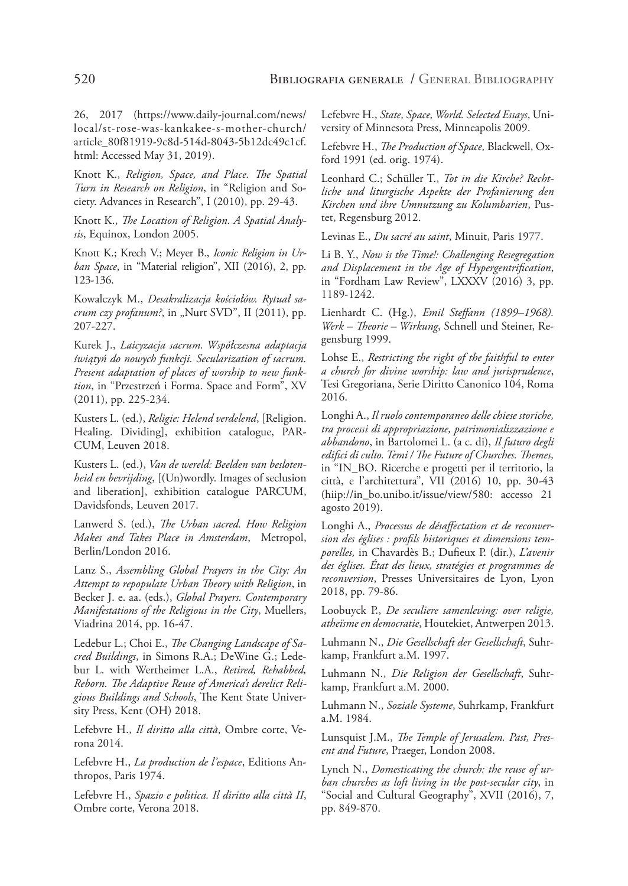26, 2017 (https://www.daily-journal.com/news/ local/st-rose-was-kankakee-s-mother-church/ article\_80f81919-9c8d-514d-8043-5b12dc49c1cf. html: Accessed May 31, 2019).

Knott K., *Religion, Space, and Place. The Spatial Turn in Research on Religion*, in "Religion and Society. Advances in Research", I (2010), pp. 29-43.

Knott K., *The Location of Religion. A Spatial Analysis*, Equinox, London 2005.

Knott K.; Krech V.; Meyer B., *Iconic Religion in Urban Space*, in "Material religion", XII (2016), 2, pp. 123-136.

Kowalczyk M., *Desakralizacja kościołów. Rytuał sacrum czy profanum?*, in "Nurt SVD", II (2011), pp. 207-227.

Kurek J., *Laicyzacja sacrum. Współczesna adaptacja świątyń do nowych funkcji. Secularization of sacrum. Present adaptation of places of worship to new funktion*, in "Przestrzeń i Forma. Space and Form", XV (2011), pp. 225-234.

Kusters L. (ed.), *Religie: Helend verdelend*, [Religion. Healing. Dividing], exhibition catalogue, PAR-CUM, Leuven 2018.

Kusters L. (ed.), *Van de wereld: Beelden van beslotenheid en bevrijding*, [(Un)wordly. Images of seclusion and liberation], exhibition catalogue PARCUM, Davidsfonds, Leuven 2017.

Lanwerd S. (ed.), *The Urban sacred. How Religion Makes and Takes Place in Amsterdam*, Metropol, Berlin/London 2016.

Lanz S., *Assembling Global Prayers in the City: An Attempt to repopulate Urban Theory with Religion*, in Becker J. e. aa. (eds.), *Global Prayers. Contemporary Manifestations of the Religious in the City*, Muellers, Viadrina 2014, pp. 16-47.

Ledebur L.; Choi E., *The Changing Landscape of Sacred Buildings*, in Simons R.A.; DeWine G.; Ledebur L. with Wertheimer L.A., *Retired, Rehabbed, Reborn. The Adaptive Reuse of America's derelict Religious Buildings and Schools*, The Kent State University Press, Kent (OH) 2018.

Lefebvre H., *Il diritto alla città*, Ombre corte, Verona 2014.

Lefebvre H., *La production de l'espace*, Editions Anthropos, Paris 1974.

Lefebvre H., *Spazio e politica. Il diritto alla città II*, Ombre corte, Verona 2018.

Lefebvre H., *State, Space, World. Selected Essays*, University of Minnesota Press, Minneapolis 2009.

Lefebvre H., *The Production of Space,* Blackwell, Oxford 1991 (ed. orig. 1974).

Leonhard C.; Schüller T., *Tot in die Kirche? Rechtliche und liturgische Aspekte der Profanierung den Kirchen und ihre Umnutzung zu Kolumbarien*, Pustet, Regensburg 2012.

Levinas E., *Du sacré au saint*, Minuit, Paris 1977.

Li B. Y., *Now is the Time!: Challenging Resegregation and Displacement in the Age of Hypergentrification*, in "Fordham Law Review", LXXXV (2016) 3, pp. 1189-1242.

Lienhardt C. (Hg.), *Emil Steffann (1899–1968). Werk – Theorie – Wirkung*, Schnell und Steiner, Regensburg 1999.

Lohse E., *Restricting the right of the faithful to enter a church for divine worship: law and jurisprudence*, Tesi Gregoriana, Serie Diritto Canonico 104, Roma 2016.

Longhi A., *Il ruolo contemporaneo delle chiese storiche, tra processi di appropriazione, patrimonializzazione e abbandono*, in Bartolomei L. (a c. di), *Il futuro degli edifici di culto. Temi / The Future of Churches. Themes,* in "IN\_BO. Ricerche e progetti per il territorio, la città, e l'architettura", VII (2016) 10, pp. 30-43 (hiip://in\_bo.unibo.it/issue/view/580: accesso 21 agosto 2019).

Longhi A., *Processus de désaffectation et de reconversion des églises : profils historiques et dimensions temporelles,* in Chavardès B.; Dufieux P. (dir.), *L'avenir des églises. État des lieux, stratégies et programmes de reconversion*, Presses Universitaires de Lyon, Lyon 2018, pp. 79-86.

Loobuyck P., *De seculiere samenleving: over religie, atheïsme en democratie*, Houtekiet, Antwerpen 2013.

Luhmann N., *Die Gesellschaft der Gesellschaft*, Suhrkamp, Frankfurt a.M. 1997.

Luhmann N., *Die Religion der Gesellschaft*, Suhrkamp, Frankfurt a.M. 2000.

Luhmann N., *Soziale Systeme*, Suhrkamp, Frankfurt a.M. 1984.

Lunsquist J.M., *The Temple of Jerusalem. Past, Present and Future*, Praeger, London 2008.

Lynch N., *Domesticating the church: the reuse of urban churches as loft living in the post-secular city*, in "Social and Cultural Geography", XVII (2016), 7, pp. 849-870.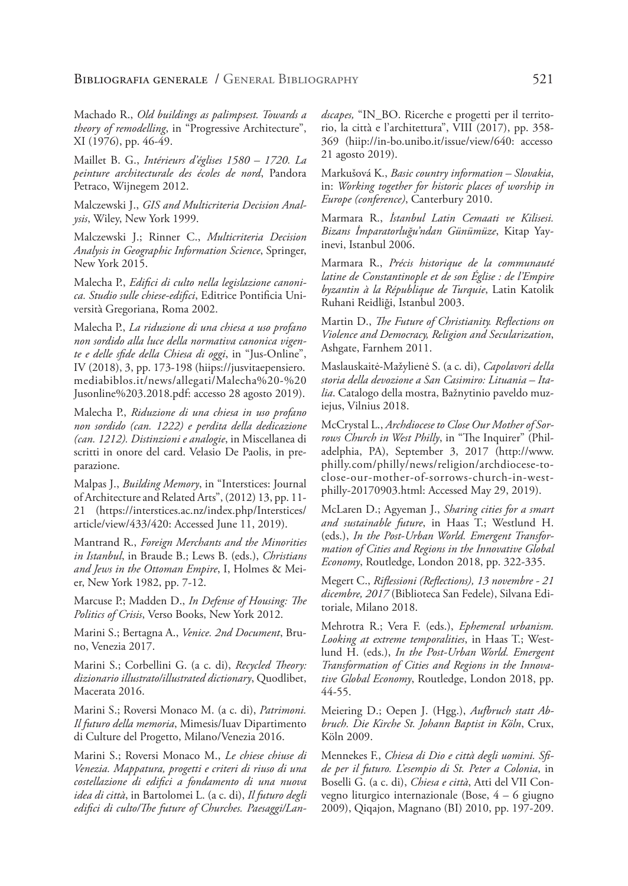Machado R., *Old buildings as palimpsest. Towards a theory of remodelling*, in "Progressive Architecture", XI (1976), pp. 46-49.

Maillet B. G., *Intérieurs d'églises 1580 – 1720. La peinture architecturale des écoles de nord*, Pandora Petraco, Wijnegem 2012.

Malczewski J., *GIS and Multicriteria Decision Analysis*, Wiley, New York 1999.

Malczewski J.; Rinner C., *Multicriteria Decision Analysis in Geographic Information Science*, Springer, New York 2015.

Malecha P., *Edifici di culto nella legislazione canonica. Studio sulle chiese-edifici*, Editrice Pontificia Università Gregoriana, Roma 2002.

Malecha P., *La riduzione di una chiesa a uso profano non sordido alla luce della normativa canonica vigente e delle sfide della Chiesa di oggi*, in "Jus-Online", IV (2018), 3, pp. 173-198 (hiips://jusvitaepensiero. mediabiblos.it/news/allegati/Malecha%20-%20 Jusonline%203.2018.pdf: accesso 28 agosto 2019).

Malecha P., *Riduzione di una chiesa in uso profano non sordido (can. 1222) e perdita della dedicazione (can. 1212). Distinzioni e analogie*, in Miscellanea di scritti in onore del card. Velasio De Paolis, in preparazione.

Malpas J., *Building Memory*, in "Interstices: Journal of Architecture and Related Arts", (2012) 13, pp. 11- 21 (https://interstices.ac.nz/index.php/Interstices/ article/view/433/420: Accessed June 11, 2019).

Mantrand R., *Foreign Merchants and the Minorities in Istanbul*, in Braude B.; Lews B. (eds.), *Christians and Jews in the Ottoman Empire*, I, Holmes & Meier, New York 1982, pp. 7-12.

Marcuse P.; Madden D., *In Defense of Housing: The Politics of Crisis*, Verso Books, New York 2012.

Marini S.; Bertagna A., *Venice. 2nd Document*, Bruno, Venezia 2017.

Marini S.; Corbellini G. (a c. di), *Recycled Theory: dizionario illustrato/illustrated dictionary*, Quodlibet, Macerata 2016.

Marini S.; Roversi Monaco M. (a c. di), *Patrimoni. Il futuro della memoria*, Mimesis/Iuav Dipartimento di Culture del Progetto, Milano/Venezia 2016.

Marini S.; Roversi Monaco M., *Le chiese chiuse di Venezia. Mappatura, progetti e criteri di riuso di una costellazione di edifici a fondamento di una nuova idea di città*, in Bartolomei L. (a c. di), *Il futuro degli edifici di culto/The future of Churches. Paesaggi/Lan-* *dscapes,* "IN\_BO. Ricerche e progetti per il territorio, la città e l'architettura", VIII (2017), pp. 358- 369 (hiip://in-bo.unibo.it/issue/view/640: accesso 21 agosto 2019).

Markušová K., *Basic country information – Slovakia*, in: *Working together for historic places of worship in Europe (conference)*, Canterbury 2010.

Marmara R., *İstanbul Latin Cemaati ve Kilisesi. Bizans İmparatorluğu'ndan Günümüze*, Kitap Yayinevi, Istanbul 2006.

Marmara R., *Précis historique de la communauté latine de Constantinople et de son Église : de l'Empire byzantin à la République de Turquie*, Latin Katolik Ruhani Reidliği, Istanbul 2003.

Martin D., *The Future of Christianity. Reflections on Violence and Democracy, Religion and Secularization*, Ashgate, Farnhem 2011.

Maslauskaitė-Mažylienė S. (a c. di), *Capolavori della storia della devozione a San Casimiro: Lituania – Italia*. Catalogo della mostra, Bažnytinio paveldo muziejus, Vilnius 2018.

McCrystal L., *Archdiocese to Close Our Mother of Sorrows Church in West Philly*, in "The Inquirer" (Philadelphia, PA), September 3, 2017 (http://www. philly.com/philly/news/religion/archdiocese-toclose-our-mother-of-sorrows-church-in-westphilly-20170903.html: Accessed May 29, 2019).

McLaren D.; Agyeman J., *Sharing cities for a smart and sustainable future*, in Haas T.; Westlund H. (eds.), *In the Post-Urban World. Emergent Transformation of Cities and Regions in the Innovative Global Economy*, Routledge, London 2018, pp. 322-335.

Megert C., *Riflessioni (Reflections), 13 novembre - 21 dicembre, 2017* (Biblioteca San Fedele), Silvana Editoriale, Milano 2018.

Mehrotra R.; Vera F. (eds.), *Ephemeral urbanism. Looking at extreme temporalities*, in Haas T.; Westlund H. (eds.), *In the Post-Urban World. Emergent Transformation of Cities and Regions in the Innovative Global Economy*, Routledge, London 2018, pp. 44-55.

Meiering D.; Oepen J. (Hgg.), *Aufbruch statt Abbruch. Die Kirche St. Johann Baptist in Köln*, Crux, Köln 2009.

Mennekes F., *Chiesa di Dio e città degli uomini. Sfide per il futuro. L'esempio di St. Peter a Colonia*, in Boselli G. (a c. di), *Chiesa e città*, Atti del VII Convegno liturgico internazionale (Bose, 4 – 6 giugno 2009), Qiqajon, Magnano (BI) 2010, pp. 197-209.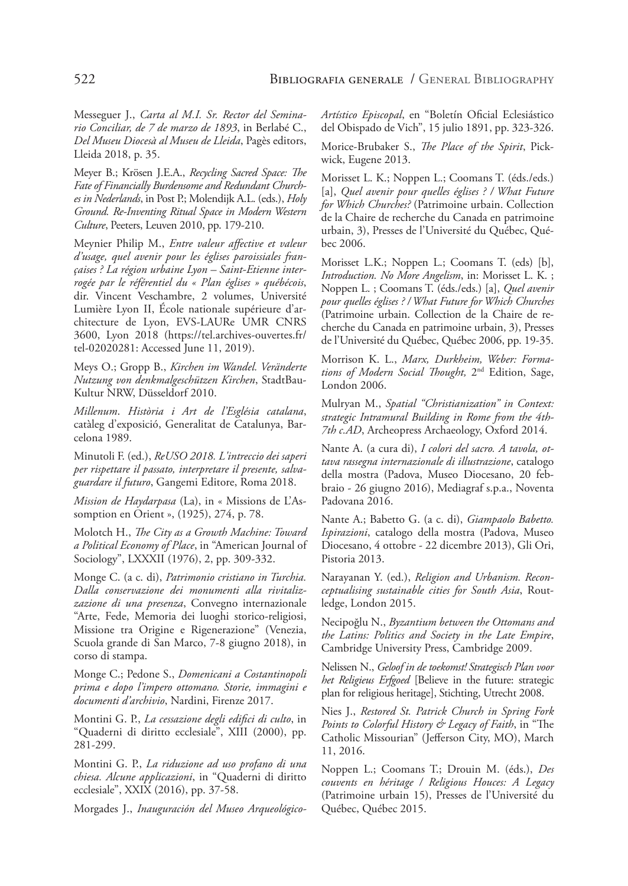Messeguer J., *Carta al M.I. Sr. Rector del Seminario Conciliar, de 7 de marzo de 1893*, in Berlabé C., *Del Museu Diocesà al Museu de Lleida*, Pagès editors, Lleida 2018, p. 35.

Meyer B.; Krösen J.E.A., *Recycling Sacred Space: The Fate of Financially Burdensome and Redundant Churches in Nederlands*, in Post P.; Molendijk A.L. (eds.), *Holy Ground. Re-Inventing Ritual Space in Modern Western Culture*, Peeters, Leuven 2010, pp. 179-210.

Meynier Philip M., *Entre valeur affective et valeur d'usage, quel avenir pour les églises paroissiales françaises ? La région urbaine Lyon – Saint-Etienne interrogée par le référentiel du « Plan églises » québécois*, dir. Vincent Veschambre, 2 volumes, Université Lumière Lyon II, École nationale supérieure d'architecture de Lyon, EVS-LAURe UMR CNRS 3600, Lyon 2018 (https://tel.archives-ouvertes.fr/ tel-02020281: Accessed June 11, 2019).

Meys O.; Gropp B., *Kirchen im Wandel. Veränderte Nutzung von denkmalgeschützen Kirchen*, StadtBau-Kultur NRW, Düsseldorf 2010.

*Millenum*. *Història i Art de l'Església catalana*, catàleg d'exposició, Generalitat de Catalunya, Barcelona 1989.

Minutoli F. (ed.), *ReUSO 2018. L'intreccio dei saperi per rispettare il passato, interpretare il presente, salvaguardare il futuro*, Gangemi Editore, Roma 2018.

*Mission de Haydarpasa* (La), in « Missions de L'Assomption en Orient », (1925), 274, p. 78.

Molotch H., *The City as a Growth Machine: Toward a Political Economy of Place*, in "American Journal of Sociology", LXXXII (1976), 2, pp. 309-332.

Monge C. (a c. di), *Patrimonio cristiano in Turchia. Dalla conservazione dei monumenti alla rivitalizzazione di una presenza*, Convegno internazionale "Arte, Fede, Memoria dei luoghi storico-religiosi, Missione tra Origine e Rigenerazione" (Venezia, Scuola grande di San Marco, 7-8 giugno 2018), in corso di stampa.

Monge C.; Pedone S., *Domenicani a Costantinopoli prima e dopo l'impero ottomano. Storie, immagini e documenti d'archivio*, Nardini, Firenze 2017.

Montini G. P., *La cessazione degli edifici di culto*, in "Quaderni di diritto ecclesiale", XIII (2000), pp. 281-299.

Montini G. P., *La riduzione ad uso profano di una chiesa. Alcune applicazioni*, in "Quaderni di diritto ecclesiale", XXIX (2016), pp. 37-58.

Morgades J., *Inauguración del Museo Arqueológico-*

*Artístico Episcopal*, en "Boletín Oficial Eclesiástico del Obispado de Vich", 15 julio 1891, pp. 323-326.

Morice-Brubaker S., *The Place of the Spirit*, Pickwick, Eugene 2013.

Morisset L. K.; Noppen L.; Coomans T. (éds./eds.) [a], *Quel avenir pour quelles églises ? / What Future for Which Churches?* (Patrimoine urbain. Collection de la Chaire de recherche du Canada en patrimoine urbain, 3), Presses de l'Université du Québec, Québec 2006.

Morisset L.K.; Noppen L.; Coomans T. (eds) [b], *Introduction. No More Angelism*, in: Morisset L. K. ; Noppen L. ; Coomans T. (éds./eds.) [a], *Quel avenir pour quelles églises ? / What Future for Which Churches* (Patrimoine urbain. Collection de la Chaire de recherche du Canada en patrimoine urbain, 3), Presses de l'Université du Québec, Québec 2006, pp. 19-35.

Morrison K. L., *Marx, Durkheim, Weber: Formations of Modern Social Thought,* 2nd Edition, Sage, London 2006.

Mulryan M., *Spatial "Christianization" in Context: strategic Intramural Building in Rome from the 4th-7th c.AD*, Archeopress Archaeology, Oxford 2014.

Nante A. (a cura di), *I colori del sacro. A tavola, ottava rassegna internazionale di illustrazione*, catalogo della mostra (Padova, Museo Diocesano, 20 febbraio - 26 giugno 2016), Mediagraf s.p.a., Noventa Padovana 2016.

Nante A.; Babetto G. (a c. di), *Giampaolo Babetto. Ispirazioni*, catalogo della mostra (Padova, Museo Diocesano, 4 ottobre - 22 dicembre 2013), Gli Ori, Pistoria 2013.

Narayanan Y. (ed.), *Religion and Urbanism. Reconceptualising sustainable cities for South Asia*, Routledge, London 2015.

Necipoğlu N., *Byzantium between the Ottomans and the Latins: Politics and Society in the Late Empire*, Cambridge University Press, Cambridge 2009.

Nelissen N., *Geloof in de toekomst! Strategisch Plan voor het Religieus Erfgoed* [Believe in the future: strategic plan for religious heritage], Stichting, Utrecht 2008.

Nies J., *Restored St. Patrick Church in Spring Fork Points to Colorful History & Legacy of Faith*, in "The Catholic Missourian" (Jefferson City, MO), March 11, 2016.

Noppen L.; Coomans T.; Drouin M. (éds.), *Des couvents en héritage / Religious Houces: A Legacy*  (Patrimoine urbain 15), Presses de l'Université du Québec, Québec 2015.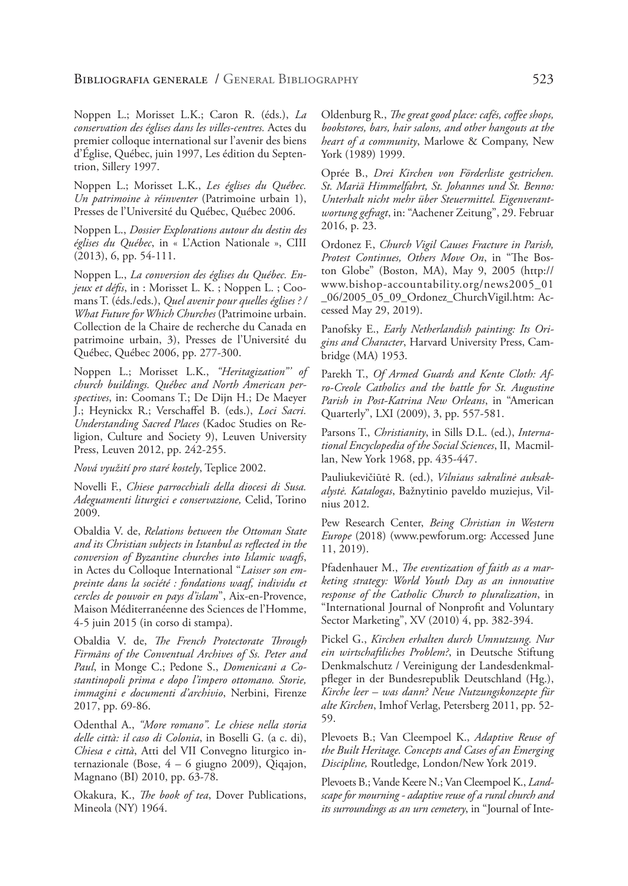Noppen L.; Morisset L.K.; Caron R. (éds.), *La conservation des églises dans les villes-centres.* Actes du premier colloque international sur l'avenir des biens d'Église, Québec, juin 1997, Les édition du Septentrion, Sillery 1997.

Noppen L.; Morisset L.K., *Les églises du Québec. Un patrimoine à réinventer* (Patrimoine urbain 1), Presses de l'Université du Québec, Québec 2006.

Noppen L., *Dossier Explorations autour du destin des églises du Québec*, in « L'Action Nationale », CIII (2013), 6, pp. 54-111.

Noppen L., *La conversion des églises du Québec. Enjeux et défis*, in : Morisset L. K. ; Noppen L. ; Coomans T. (éds./eds.), *Quel avenir pour quelles églises ? / What Future for Which Churches* (Patrimoine urbain. Collection de la Chaire de recherche du Canada en patrimoine urbain, 3), Presses de l'Université du Québec, Québec 2006, pp. 277-300.

Noppen L.; Morisset L.K., *"Heritagization"' of church buildings. Québec and North American perspectives*, in: Coomans T.; De Dijn H.; De Maeyer J.; Heynickx R.; Verschaffel B. (eds.), *Loci Sacri. Understanding Sacred Places* (Kadoc Studies on Religion, Culture and Society 9), Leuven University Press, Leuven 2012, pp. 242-255.

*Nová využití pro staré kostely*, Teplice 2002.

Novelli F., *Chiese parrocchiali della diocesi di Susa. Adeguamenti liturgici e conservazione,* Celid, Torino 2009.

Obaldia V. de, *Relations between the Ottoman State and its Christian subjects in Istanbul as reflected in the conversion of Byzantine churches into Islamic waqfs*, in Actes du Colloque International "*Laisser son empreinte dans la société : fondations waqf, individu et cercles de pouvoir en pays d'islam*", Aix-en-Provence, Maison Méditerranéenne des Sciences de l'Homme, 4-5 juin 2015 (in corso di stampa).

Obaldia V. de, *The French Protectorate Through Firmāns of the Conventual Archives of Ss. Peter and Paul*, in Monge C.; Pedone S., *Domenicani a Costantinopoli prima e dopo l'impero ottomano. Storie, immagini e documenti d'archivio*, Nerbini, Firenze 2017, pp. 69-86.

Odenthal A., *"More romano". Le chiese nella storia delle città: il caso di Colonia*, in Boselli G. (a c. di), *Chiesa e città*, Atti del VII Convegno liturgico internazionale (Bose, 4 – 6 giugno 2009), Qiqajon, Magnano (BI) 2010, pp. 63-78.

Okakura, K., *The book of tea*, Dover Publications, Mineola (NY) 1964.

Oldenburg R., *The great good place: cafés, coffee shops, bookstores, bars, hair salons, and other hangouts at the heart of a community*, Marlowe & Company, New York (1989) 1999.

Oprée B., *Drei Kirchen von Förderliste gestrichen. St. Mariä Himmelfahrt, St. Johannes und St. Benno: Unterhalt nicht mehr über Steuermittel. Eigenverantwortung gefragt*, in: "Aachener Zeitung", 29. Februar 2016, p. 23.

Ordonez F., *Church Vigil Causes Fracture in Parish, Protest Continues, Others Move On*, in "The Boston Globe" (Boston, MA), May 9, 2005 (http:// www.bishop-accountability.org/news2005\_01 \_06/2005\_05\_09\_Ordonez\_ChurchVigil.htm: Accessed May 29, 2019).

Panofsky E., *Early Netherlandish painting: Its Origins and Character*, Harvard University Press, Cambridge (MA) 1953.

Parekh T., *Of Armed Guards and Kente Cloth: Afro-Creole Catholics and the battle for St. Augustine Parish in Post-Katrina New Orleans*, in "American Quarterly", LXI (2009), 3, pp. 557-581.

Parsons T., *Christianity*, in Sills D.L. (ed.), *International Encyclopedia of the Social Sciences*, II, Macmillan, New York 1968, pp. 435-447.

Pauliukevičiūtė R. (ed.), *Vilniaus sakralinė auksakalystė. Katalogas*, Bažnytinio paveldo muziejus, Vilnius 2012.

Pew Research Center, *Being Christian in Western Europe* (2018) (www.pewforum.org: Accessed June 11, 2019).

Pfadenhauer M., *The eventization of faith as a marketing strategy: World Youth Day as an innovative response of the Catholic Church to pluralization*, in "International Journal of Nonprofit and Voluntary Sector Marketing", XV (2010) 4, pp. 382-394.

Pickel G., *Kirchen erhalten durch Umnutzung. Nur ein wirtschaftliches Problem?*, in Deutsche Stiftung Denkmalschutz / Vereinigung der Landesdenkmalpfleger in der Bundesrepublik Deutschland (Hg.), *Kirche leer – was dann? Neue Nutzungskonzepte für alte Kirchen*, Imhof Verlag, Petersberg 2011, pp. 52- 59.

Plevoets B.; Van Cleempoel K., *Adaptive Reuse of the Built Heritage. Concepts and Cases of an Emerging Discipline,* Routledge, London/New York 2019.

Plevoets B.; Vande Keere N.; Van Cleempoel K., *Landscape for mourning - adaptive reuse of a rural church and its surroundings as an urn cemetery*, in "Journal of Inte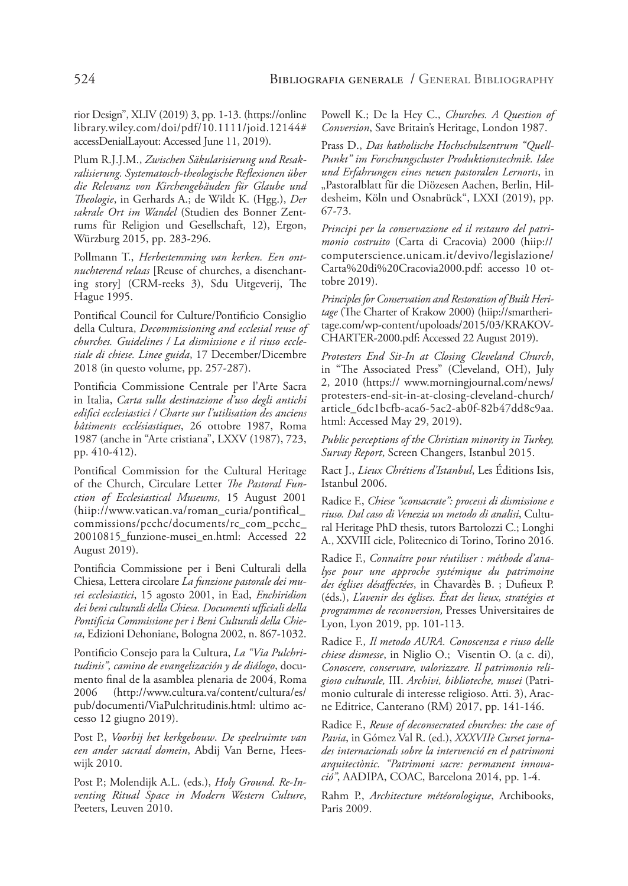rior Design", XLIV (2019) 3, pp. 1-13. (https://online library.wiley.com/doi/pdf/10.1111/joid.12144# accessDenialLayout: Accessed June 11, 2019).

Plum R.J.J.M., *Zwischen Säkularisierung und Resakralisierung. Systematosch-theologische Reflexionen über die Relevanz von Kirchengebäuden für Glaube und Theologie*, in Gerhards A.; de Wildt K. (Hgg.), *Der sakrale Ort im Wandel* (Studien des Bonner Zentrums für Religion und Gesellschaft, 12), Ergon, Würzburg 2015, pp. 283-296.

Pollmann T., *Herbestemming van kerken. Een ontnuchterend relaas* [Reuse of churches, a disenchanting story] (CRM-reeks 3), Sdu Uitgeverij, The Hague 1995.

Pontifical Council for Culture/Pontificio Consiglio della Cultura, *Decommissioning and ecclesial reuse of churches. Guidelines / La dismissione e il riuso ecclesiale di chiese. Linee guida*, 17 December/Dicembre 2018 (in questo volume, pp. 257-287).

Pontificia Commissione Centrale per l'Arte Sacra in Italia, *Carta sulla destinazione d'uso degli antichi edifici ecclesiastici / Charte sur l'utilisation des anciens bâtiments ecclésiastiques*, 26 ottobre 1987, Roma 1987 (anche in "Arte cristiana", LXXV (1987), 723, pp. 410-412).

Pontifical Commission for the Cultural Heritage of the Church, Circulare Letter *The Pastoral Function of Ecclesiastical Museums*, 15 August 2001 (hiip://www.vatican.va/roman\_curia/pontifical\_ commissions/pcchc/documents/rc\_com\_pcchc\_ 20010815\_funzione-musei\_en.html: Accessed 22 August 2019).

Pontificia Commissione per i Beni Culturali della Chiesa, Lettera circolare *La funzione pastorale dei musei ecclesiastici*, 15 agosto 2001, in Ead, *Enchiridion dei beni culturali della Chiesa. Documenti ufficiali della Pontificia Commissione per i Beni Culturali della Chiesa*, Edizioni Dehoniane, Bologna 2002, n. 867-1032.

Pontificio Consejo para la Cultura, *La "Via Pulchritudinis", camino de evangelización y de diálogo*, documento final de la asamblea plenaria de 2004, Roma 2006 (http://www.cultura.va/content/cultura/es/ pub/documenti/ViaPulchritudinis.html: ultimo accesso 12 giugno 2019).

Post P., *Voorbij het kerkgebouw*. *De speelruimte van een ander sacraal domein*, Abdij Van Berne, Heeswijk 2010.

Post P.; Molendijk A.L. (eds.), *Holy Ground. Re-Inventing Ritual Space in Modern Western Culture*, Peeters, Leuven 2010.

Powell K.; De la Hey C., *Churches. A Question of Conversion*, Save Britain's Heritage, London 1987.

Prass D., *Das katholische Hochschulzentrum "Quell-Punkt" im Forschungscluster Produktionstechnik. Idee und Erfahrungen eines neuen pastoralen Lernorts*, in "Pastoralblatt für die Diözesen Aachen, Berlin, Hildesheim, Köln und Osnabrück", LXXI (2019), pp. 67-73.

*Principi per la conservazione ed il restauro del patrimonio costruito* (Carta di Cracovia) 2000 (hiip:// computerscience.unicam.it/devivo/legislazione/ Carta%20di%20Cracovia2000.pdf: accesso 10 ottobre 2019).

*Principles for Conservation and Restoration of Built Heritage* (The Charter of Krakow 2000) (hiip://smartheritage.com/wp-content/upoloads/2015/03/KRAKOV-CHARTER-2000.pdf: Accessed 22 August 2019).

*Protesters End Sit-In at Closing Cleveland Church*, in "The Associated Press" (Cleveland, OH), July 2, 2010 (https:// www.morningjournal.com/news/ protesters-end-sit-in-at-closing-cleveland-church/ article\_6dc1bcfb-aca6-5ac2-ab0f-82b47dd8c9aa. html: Accessed May 29, 2019).

*Public perceptions of the Christian minority in Turkey, Survay Report*, Screen Changers, Istanbul 2015.

Ract J., *Lieux Chrétiens d'Istanbul*, Les Éditions Isis, Istanbul 2006.

Radice F., *Chiese "sconsacrate": processi di dismissione e riuso. Dal caso di Venezia un metodo di analisi*, Cultural Heritage PhD thesis, tutors Bartolozzi C.; Longhi A., XXVIII cicle, Politecnico di Torino, Torino 2016.

Radice F., *Connaître pour réutiliser : méthode d'analyse pour une approche systémique du patrimoine des églises désaffectées*, in Chavardès B. ; Dufieux P. (éds.), *L'avenir des églises. État des lieux, stratégies et programmes de reconversion,* Presses Universitaires de Lyon, Lyon 2019, pp. 101-113.

Radice F., *Il metodo AURA. Conoscenza e riuso delle chiese dismesse*, in Niglio O.; Visentin O. (a c. di), *Conoscere, conservare, valorizzare. Il patrimonio religioso culturale,* III. *Archivi, biblioteche, musei* (Patrimonio culturale di interesse religioso. Atti. 3), Aracne Editrice, Canterano (RM) 2017, pp. 141-146.

Radice F., *Reuse of deconsecrated churches: the case of Pavia*, in Gómez Val R. (ed.), *XXXVIIè Curset jornades internacionals sobre la intervenció en el patrimoni arquitectònic. "Patrimoni sacre: permanent innovació"*, AADIPA, COAC, Barcelona 2014, pp. 1-4.

Rahm P., *Architecture météorologique*, Archibooks, Paris 2009.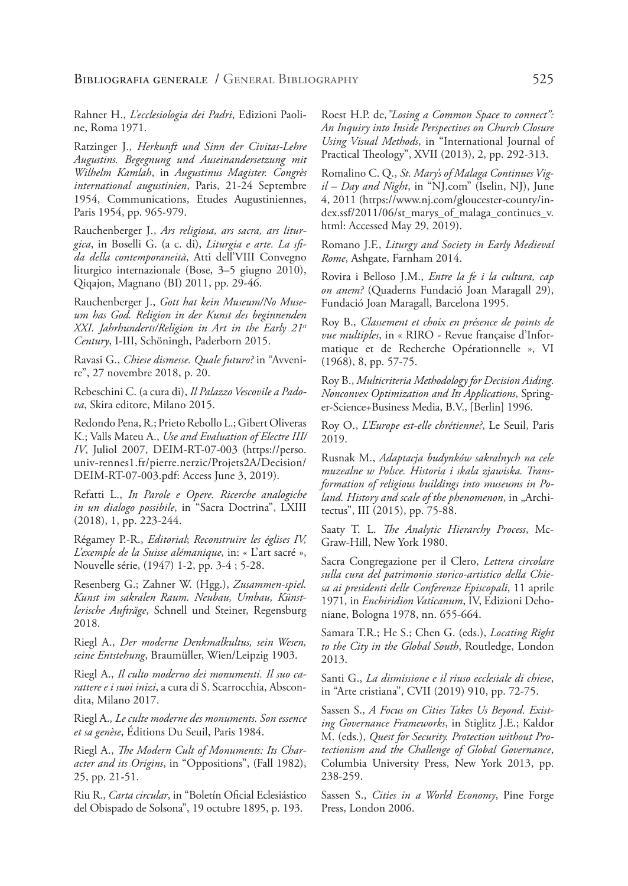Rahner H., *L'ecclesiologia dei Padri*, Edizioni Paoline, Roma 1971.

Ratzinger J., *Herkunft und Sinn der Civitas-Lehre Augustins. Begegnung und Auseinandersetzung mit Wilhelm Kamlah*, in *Augustinus Magister. Congrès international augustinien*, Paris, 21-24 Septembre 1954, Communications, Etudes Augustiniennes, Paris 1954, pp. 965-979.

Rauchenberger J., *Ars religiosa, ars sacra, ars liturgica*, in Boselli G. (a c. di), *Liturgia e arte. La sfida della contemporaneità*, Atti dell'VIII Convegno liturgico internazionale (Bose, 3–5 giugno 2010), Qiqajon, Magnano (BI) 2011, pp. 29-46.

Rauchenberger J., *Gott hat kein Museum/No Museum has God. Religion in der Kunst des beginnenden XXI. Jahrhunderts/Religion in Art in the Early 21st Century*, I-III, Schöningh, Paderborn 2015.

Ravasi G., *Chiese dismesse. Quale futuro?* in "Avvenire", 27 novembre 2018, p. 20.

Rebeschini C. (a cura di), *Il Palazzo Vescovile a Padova*, Skira editore, Milano 2015.

Redondo Pena, R.; Prieto Rebollo L.; Gibert Oliveras K.; Valls Mateu A., *Use and Evaluation of Electre III/ IV*, Juliol 2007, DEIM-RT-07-003 (https://perso. univ-rennes1.fr/pierre.nerzic/Projets2A/Decision/ DEIM-RT-07-003.pdf: Access June 3, 2019).

Refatti L., *In Parole e Opere. Ricerche analogiche in un dialogo possibile*, in "Sacra Doctrina", LXIII (2018), 1, pp. 223-244.

Régamey P.-R., *Editorial*; *Reconstruire les églises IV, L'exemple de la Suisse alémanique*, in: « L'art sacré », Nouvelle série, (1947) 1-2, pp. 3-4 ; 5-28.

Resenberg G.; Zahner W. (Hgg.), *Zusammen-spiel. Kunst im sakralen Raum. Neubau, Umbau, Künstlerische Aufträge*, Schnell und Steiner, Regensburg 2018.

Riegl A., *Der moderne Denkmalkultus, sein Wesen, seine Entstehung*, Braumüller, Wien/Leipzig 1903.

Riegl A., *Il culto moderno dei monumenti. Il suo carattere e i suoi inizi*, a cura di S. Scarrocchia, Abscondita, Milano 2017.

Riegl A.*, Le culte moderne des monuments. Son essence et sa genèse*, Éditions Du Seuil, Paris 1984.

Riegl A., *The Modern Cult of Monuments: Its Character and its Origins*, in "Oppositions", (Fall 1982), 25, pp. 21-51.

Riu R., *Carta circular*, in "Boletín Oficial Eclesiástico del Obispado de Solsona", 19 octubre 1895, p. 193.

Roest H.P. de,*"Losing a Common Space to connect": An Inquiry into Inside Perspectives on Church Closure Using Visual Methods*, in "International Journal of Practical Theology", XVII (2013), 2, pp. 292-313.

Romalino C. Q., *St. Mary's of Malaga Continues Vigil – Day and Night*, in "NJ.com" (Iselin, NJ), June 4, 2011 (https://www.nj.com/gloucester-county/index.ssf/2011/06/st\_marys\_of\_malaga\_continues\_v. html: Accessed May 29, 2019).

Romano J.F., *Liturgy and Society in Early Medieval Rome*, Ashgate, Farnham 2014.

Rovira i Belloso J.M., *Entre la fe i la cultura, cap on anem?* (Quaderns Fundació Joan Maragall 29), Fundació Joan Maragall, Barcelona 1995.

Roy B., *Classement et choix en présence de points de vue multiples*, in « RIRO - Revue française d'Informatique et de Recherche Opérationnelle », VI (1968), 8, pp. 57-75.

Roy B., *Multicriteria Methodology for Decision Aiding*. *Nonconvex Optimization and Its Applications*, Springer-Science+Business Media, B.V., [Berlin] 1996.

Roy O., *L'Europe est-elle chrétienne?*, Le Seuil, Paris 2019.

Rusnak M., *Adaptacja budynków sakralnych na cele muzealne w Polsce. Historia i skala zjawiska. Transformation of religious buildings into museums in Po*land. History and scale of the phenomenon, in "Architectus", III (2015), pp. 75-88.

Saaty T. L. *The Analytic Hierarchy Process*, Mc-Graw-Hill, New York 1980.

Sacra Congregazione per il Clero, *Lettera circolare sulla cura del patrimonio storico-artistico della Chiesa ai presidenti delle Conferenze Episcopali*, 11 aprile 1971*,* in *Enchiridion Vaticanum*, IV, Edizioni Dehoniane, Bologna 1978, nn. 655-664.

Samara T.R.; He S.; Chen G. (eds.), *Locating Right to the City in the Global South*, Routledge, London 2013.

Santi G., *La dismissione e il riuso ecclesiale di chiese*, in "Arte cristiana", CVII (2019) 910, pp. 72-75.

Sassen S., *A Focus on Cities Takes Us Beyond. Existing Governance Frameworks*, in Stiglitz J.E.; Kaldor M. (eds.), *Quest for Security. Protection without Protectionism and the Challenge of Global Governance*, Columbia University Press, New York 2013, pp. 238-259.

Sassen S., *Cities in a World Economy*, Pine Forge Press, London 2006.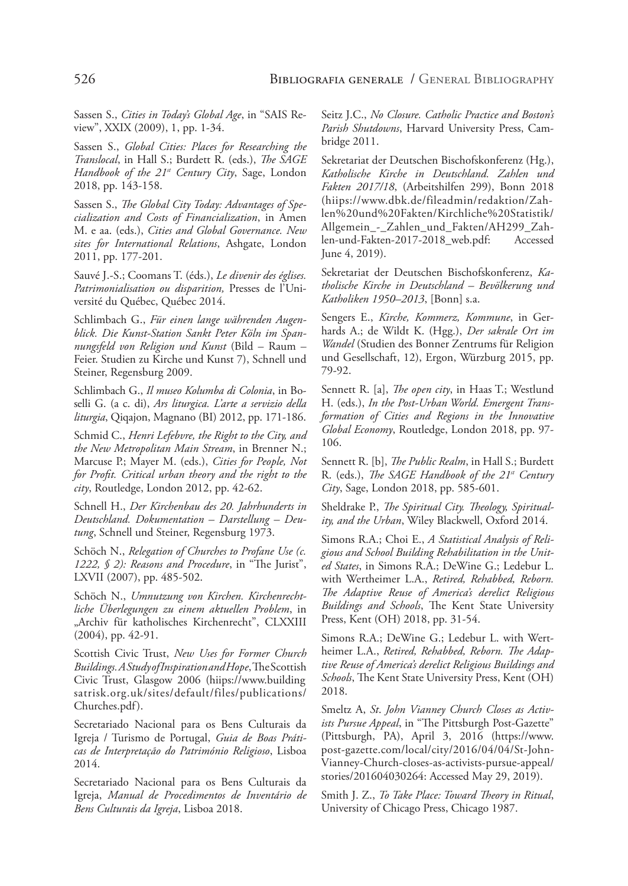Sassen S., *Cities in Today's Global Age*, in "SAIS Review", XXIX (2009), 1, pp. 1-34.

Sassen S., *Global Cities: Places for Researching the Translocal*, in Hall S.; Burdett R. (eds.), *The SAGE Handbook of the 21st Century City*, Sage, London 2018, pp. 143-158.

Sassen S., *The Global City Today: Advantages of Specialization and Costs of Financialization*, in Amen M. e aa. (eds.), *Cities and Global Governance. New sites for International Relations*, Ashgate, London 2011, pp. 177-201.

Sauvé J.-S.; Coomans T. (éds.), *Le divenir des églises. Patrimonialisation ou disparition,* Presses de l'Université du Québec, Québec 2014.

Schlimbach G., *Für einen lange währenden Augenblick. Die Kunst-Station Sankt Peter Köln im Spannungsfeld von Religion und Kunst* (Bild – Raum – Feier. Studien zu Kirche und Kunst 7), Schnell und Steiner, Regensburg 2009.

Schlimbach G., *Il museo Kolumba di Colonia*, in Boselli G. (a c. di), *Ars liturgica. L'arte a servizio della liturgia*, Qiqajon, Magnano (BI) 2012, pp. 171-186.

Schmid C., *Henri Lefebvre, the Right to the City, and the New Metropolitan Main Stream*, in Brenner N.; Marcuse P.; Mayer M. (eds.), *Cities for People, Not for Profit. Critical urban theory and the right to the city*, Routledge, London 2012, pp. 42-62.

Schnell H., *Der Kirchenbau des 20. Jahrhunderts in Deutschland. Dokumentation – Darstellung – Deutung*, Schnell und Steiner, Regensburg 1973.

Schöch N., *Relegation of Churches to Profane Use (c. 1222, § 2): Reasons and Procedure*, in "The Jurist", LXVII (2007), pp. 485-502.

Schöch N., *Umnutzung von Kirchen. Kirchenrechtliche Überlegungen zu einem aktuellen Problem*, in "Archiv für katholisches Kirchenrecht", CLXXIII (2004), pp. 42-91.

Scottish Civic Trust, *New Uses for Former Church Buildings. A Study of Inspiration and Hope*, The Scottish Civic Trust, Glasgow 2006 (hiips://www.building satrisk.org.uk/sites/default/files/publications/ Churches.pdf).

Secretariado Nacional para os Bens Culturais da Igreja / Turismo de Portugal, *Guia de Boas Práticas de Interpretação do Património Religioso*, Lisboa 2014.

Secretariado Nacional para os Bens Culturais da Igreja, *Manual de Procedimentos de Inventário de Bens Culturais da Igreja*, Lisboa 2018.

Seitz J.C., *No Closure. Catholic Practice and Boston's Parish Shutdowns*, Harvard University Press, Cambridge 2011.

Sekretariat der Deutschen Bischofskonferenz (Hg.), *Katholische Kirche in Deutschland. Zahlen und Fakten 2017/18*, (Arbeitshilfen 299), Bonn 2018 (hiips://www.dbk.de/fileadmin/redaktion/Zahlen%20und%20Fakten/Kirchliche%20Statistik/ Allgemein\_-\_Zahlen\_und\_Fakten/AH299\_Zahlen-und-Fakten-2017-2018\_web.pdf: Accessed June 4, 2019).

Sekretariat der Deutschen Bischofskonferenz, *Katholische Kirche in Deutschland – Bevölkerung und Katholiken 1950–2013*, [Bonn] s.a.

Sengers E., *Kirche, Kommerz, Kommune*, in Gerhards A.; de Wildt K. (Hgg.), *Der sakrale Ort im Wandel* (Studien des Bonner Zentrums für Religion und Gesellschaft, 12), Ergon, Würzburg 2015, pp. 79-92.

Sennett R. [a], *The open city*, in Haas T.; Westlund H. (eds.), *In the Post-Urban World. Emergent Transformation of Cities and Regions in the Innovative Global Economy*, Routledge, London 2018, pp. 97- 106.

Sennett R. [b], *The Public Realm*, in Hall S.; Burdett R. (eds.), *The SAGE Handbook of the 21st Century City*, Sage, London 2018, pp. 585-601.

Sheldrake P., *The Spiritual City. Theology, Spirituality, and the Urban*, Wiley Blackwell, Oxford 2014.

Simons R.A.; Choi E., *A Statistical Analysis of Religious and School Building Rehabilitation in the United States*, in Simons R.A.; DeWine G.; Ledebur L. with Wertheimer L.A., *Retired, Rehabbed, Reborn. The Adaptive Reuse of America's derelict Religious Buildings and Schools*, The Kent State University Press, Kent (OH) 2018, pp. 31-54.

Simons R.A.; DeWine G.; Ledebur L. with Wertheimer L.A., *Retired, Rehabbed, Reborn. The Adaptive Reuse of America's derelict Religious Buildings and Schools*, The Kent State University Press, Kent (OH) 2018.

Smeltz A, *St*. *John Vianney Church Closes as Activists Pursue Appeal*, in "The Pittsburgh Post-Gazette" (Pittsburgh, PA), April 3, 2016 (https://www. post-gazette.com/local/city/2016/04/04/St-John-Vianney-Church-closes-as-activists-pursue-appeal/ stories/201604030264: Accessed May 29, 2019).

Smith J. Z., *To Take Place: Toward Theory in Ritual*, University of Chicago Press, Chicago 1987.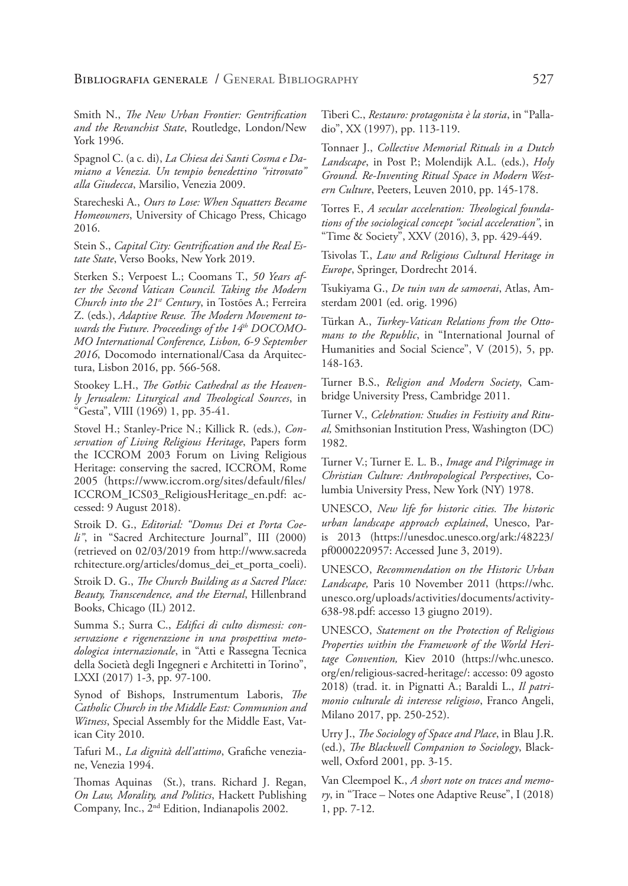Smith N., *The New Urban Frontier: Gentrification and the Revanchist State*, Routledge, London/New York 1996.

Spagnol C. (a c. di), *La Chiesa dei Santi Cosma e Damiano a Venezia. Un tempio benedettino "ritrovato" alla Giudecca*, Marsilio, Venezia 2009.

Starecheski A., *Ours to Lose: When Squatters Became Homeowners*, University of Chicago Press, Chicago 2016.

Stein S., *Capital City: Gentrification and the Real Estate State*, Verso Books, New York 2019.

Sterken S.; Verpoest L.; Coomans T., *50 Years after the Second Vatican Council. Taking the Modern Church into the 21st Century*, in Tostões A.; Ferreira Z. (eds.), *Adaptive Reuse. The Modern Movement towards the Future. Proceedings of the 14th DOCOMO-MO International Conference, Lisbon, 6-9 September 2016*, Docomodo international/Casa da Arquitectura, Lisbon 2016, pp. 566-568.

Stookey L.H., *The Gothic Cathedral as the Heavenly Jerusalem: Liturgical and Theological Sources*, in "Gesta", VIII (1969) 1, pp. 35-41.

Stovel H.; Stanley-Price N.; Killick R. (eds.), *Conservation of Living Religious Heritage*, Papers form the ICCROM 2003 Forum on Living Religious Heritage: conserving the sacred, ICCROM, Rome 2005 (https://www.iccrom.org/sites/default/files/ ICCROM\_ICS03\_ReligiousHeritage\_en.pdf: accessed: 9 August 2018).

Stroik D. G., *Editorial: "Domus Dei et Porta Coeli"*, in "Sacred Architecture Journal", III (2000) (retrieved on 02/03/2019 from http://www.sacreda rchitecture.org/articles/domus\_dei\_et\_porta\_coeli).

Stroik D. G., *The Church Building as a Sacred Place: Beauty, Transcendence, and the Eternal*, Hillenbrand Books, Chicago (IL) 2012.

Summa S.; Surra C., *Edifici di culto dismessi: conservazione e rigenerazione in una prospettiva metodologica internazionale*, in "Atti e Rassegna Tecnica della Società degli Ingegneri e Architetti in Torino", LXXI (2017) 1-3, pp. 97-100.

Synod of Bishops, Instrumentum Laboris, *The Catholic Church in the Middle East: Communion and Witness*, Special Assembly for the Middle East, Vatican City 2010.

Tafuri M., *La dignità dell'attimo*, Grafiche veneziane, Venezia 1994.

Thomas Aquinas (St.), trans. Richard J. Regan, *On Law, Morality, and Politics*, Hackett Publishing Company, Inc., 2nd Edition, Indianapolis 2002.

Tiberi C., *Restauro: protagonista è la storia*, in "Palladio", XX (1997), pp. 113-119.

Tonnaer J., *Collective Memorial Rituals in a Dutch Landscape*, in Post P.; Molendijk A.L. (eds.), *Holy Ground. Re-Inventing Ritual Space in Modern Western Culture*, Peeters, Leuven 2010, pp. 145-178.

Torres F., *A secular acceleration: Theological foundations of the sociological concept "social acceleration"*, in "Time & Society", XXV (2016), 3, pp. 429-449.

Tsivolas T., *Law and Religious Cultural Heritage in Europe*, Springer, Dordrecht 2014.

Tsukiyama G., *De tuin van de samoerai*, Atlas, Amsterdam 2001 (ed. orig. 1996)

Türkan A., *Turkey-Vatican Relations from the Ottomans to the Republic*, in "International Journal of Humanities and Social Science", V (2015), 5, pp. 148-163.

Turner B.S., *Religion and Modern Society*, Cambridge University Press, Cambridge 2011.

Turner V., *Celebration: Studies in Festivity and Ritual,* Smithsonian Institution Press, Washington (DC) 1982.

Turner V.; Turner E. L. B., *Image and Pilgrimage in Christian Culture: Anthropological Perspectives*, Columbia University Press, New York (NY) 1978.

UNESCO, *New life for historic cities. The historic urban landscape approach explained*, Unesco, Paris 2013 (https://unesdoc.unesco.org/ark:/48223/ pf0000220957: Accessed June 3, 2019).

UNESCO, *Recommendation on the Historic Urban Landscape,* Paris 10 November 2011 (https://whc. unesco.org/uploads/activities/documents/activity-638-98.pdf: accesso 13 giugno 2019).

UNESCO, *Statement on the Protection of Religious Properties within the Framework of the World Heritage Convention,* Kiev 2010 (https://whc.unesco. org/en/religious-sacred-heritage/: accesso: 09 agosto 2018) (trad. it. in Pignatti A.; Baraldi L., *Il patrimonio culturale di interesse religioso*, Franco Angeli, Milano 2017, pp. 250-252).

Urry J., *The Sociology of Space and Place*, in Blau J.R. (ed.), *The Blackwell Companion to Sociology*, Blackwell, Oxford 2001, pp. 3-15.

Van Cleempoel K., *A short note on traces and memory*, in "Trace – Notes one Adaptive Reuse", I (2018) 1, pp. 7-12.